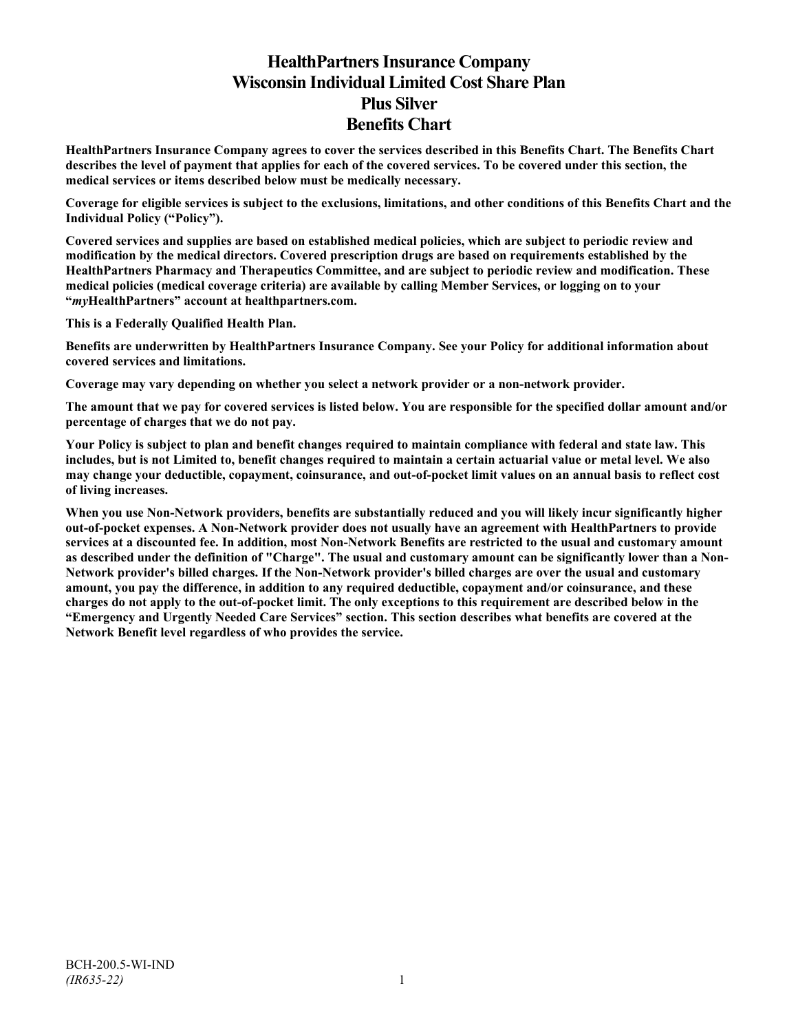# **HealthPartners Insurance Company Wisconsin Individual Limited Cost Share Plan Plus Silver Benefits Chart**

**HealthPartners Insurance Company agrees to cover the services described in this Benefits Chart. The Benefits Chart describes the level of payment that applies for each of the covered services. To be covered under this section, the medical services or items described below must be medically necessary.**

**Coverage for eligible services is subject to the exclusions, limitations, and other conditions of this Benefits Chart and the Individual Policy ("Policy").**

**Covered services and supplies are based on established medical policies, which are subject to periodic review and modification by the medical directors. Covered prescription drugs are based on requirements established by the HealthPartners Pharmacy and Therapeutics Committee, and are subject to periodic review and modification. These medical policies (medical coverage criteria) are available by calling Member Services, or logging on to your "***my***HealthPartners" account at [healthpartners.com.](http://www.healthpartners.com/)**

**This is a Federally Qualified Health Plan.**

**Benefits are underwritten by HealthPartners Insurance Company. See your Policy for additional information about covered services and limitations.**

**Coverage may vary depending on whether you select a network provider or a non-network provider.**

**The amount that we pay for covered services is listed below. You are responsible for the specified dollar amount and/or percentage of charges that we do not pay.**

**Your Policy is subject to plan and benefit changes required to maintain compliance with federal and state law. This includes, but is not Limited to, benefit changes required to maintain a certain actuarial value or metal level. We also may change your deductible, copayment, coinsurance, and out-of-pocket limit values on an annual basis to reflect cost of living increases.**

**When you use Non-Network providers, benefits are substantially reduced and you will likely incur significantly higher out-of-pocket expenses. A Non-Network provider does not usually have an agreement with HealthPartners to provide services at a discounted fee. In addition, most Non-Network Benefits are restricted to the usual and customary amount as described under the definition of "Charge". The usual and customary amount can be significantly lower than a Non-Network provider's billed charges. If the Non-Network provider's billed charges are over the usual and customary amount, you pay the difference, in addition to any required deductible, copayment and/or coinsurance, and these charges do not apply to the out-of-pocket limit. The only exceptions to this requirement are described below in the "Emergency and Urgently Needed Care Services" section. This section describes what benefits are covered at the Network Benefit level regardless of who provides the service.**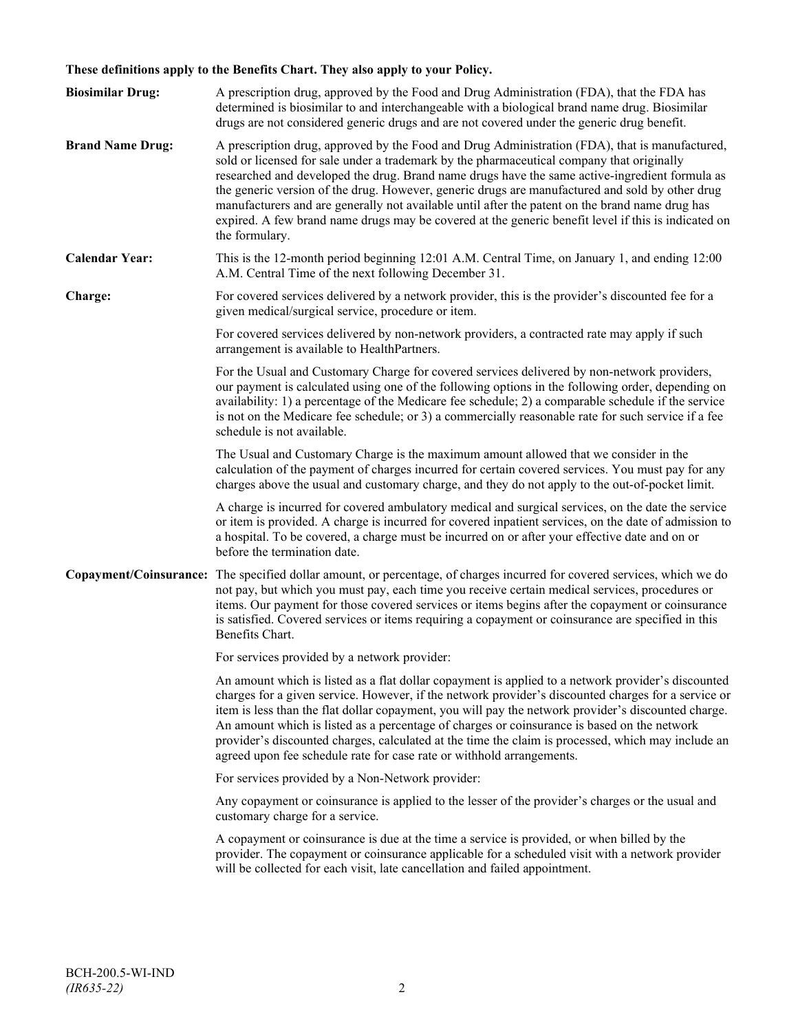# **These definitions apply to the Benefits Chart. They also apply to your Policy.**

| <b>Biosimilar Drug:</b> | A prescription drug, approved by the Food and Drug Administration (FDA), that the FDA has<br>determined is biosimilar to and interchangeable with a biological brand name drug. Biosimilar<br>drugs are not considered generic drugs and are not covered under the generic drug benefit.                                                                                                                                                                                                                                                                                                                                     |
|-------------------------|------------------------------------------------------------------------------------------------------------------------------------------------------------------------------------------------------------------------------------------------------------------------------------------------------------------------------------------------------------------------------------------------------------------------------------------------------------------------------------------------------------------------------------------------------------------------------------------------------------------------------|
| <b>Brand Name Drug:</b> | A prescription drug, approved by the Food and Drug Administration (FDA), that is manufactured,<br>sold or licensed for sale under a trademark by the pharmaceutical company that originally<br>researched and developed the drug. Brand name drugs have the same active-ingredient formula as<br>the generic version of the drug. However, generic drugs are manufactured and sold by other drug<br>manufacturers and are generally not available until after the patent on the brand name drug has<br>expired. A few brand name drugs may be covered at the generic benefit level if this is indicated on<br>the formulary. |
| <b>Calendar Year:</b>   | This is the 12-month period beginning 12:01 A.M. Central Time, on January 1, and ending 12:00<br>A.M. Central Time of the next following December 31.                                                                                                                                                                                                                                                                                                                                                                                                                                                                        |
| Charge:                 | For covered services delivered by a network provider, this is the provider's discounted fee for a<br>given medical/surgical service, procedure or item.                                                                                                                                                                                                                                                                                                                                                                                                                                                                      |
|                         | For covered services delivered by non-network providers, a contracted rate may apply if such<br>arrangement is available to HealthPartners.                                                                                                                                                                                                                                                                                                                                                                                                                                                                                  |
|                         | For the Usual and Customary Charge for covered services delivered by non-network providers,<br>our payment is calculated using one of the following options in the following order, depending on<br>availability: 1) a percentage of the Medicare fee schedule; 2) a comparable schedule if the service<br>is not on the Medicare fee schedule; or 3) a commercially reasonable rate for such service if a fee<br>schedule is not available.                                                                                                                                                                                 |
|                         | The Usual and Customary Charge is the maximum amount allowed that we consider in the<br>calculation of the payment of charges incurred for certain covered services. You must pay for any<br>charges above the usual and customary charge, and they do not apply to the out-of-pocket limit.                                                                                                                                                                                                                                                                                                                                 |
|                         | A charge is incurred for covered ambulatory medical and surgical services, on the date the service<br>or item is provided. A charge is incurred for covered inpatient services, on the date of admission to<br>a hospital. To be covered, a charge must be incurred on or after your effective date and on or<br>before the termination date.                                                                                                                                                                                                                                                                                |
|                         | Copayment/Coinsurance: The specified dollar amount, or percentage, of charges incurred for covered services, which we do<br>not pay, but which you must pay, each time you receive certain medical services, procedures or<br>items. Our payment for those covered services or items begins after the copayment or coinsurance<br>is satisfied. Covered services or items requiring a copayment or coinsurance are specified in this<br>Benefits Chart.                                                                                                                                                                      |
|                         | For services provided by a network provider:                                                                                                                                                                                                                                                                                                                                                                                                                                                                                                                                                                                 |
|                         | An amount which is listed as a flat dollar copayment is applied to a network provider's discounted<br>charges for a given service. However, if the network provider's discounted charges for a service or<br>item is less than the flat dollar copayment, you will pay the network provider's discounted charge.<br>An amount which is listed as a percentage of charges or coinsurance is based on the network<br>provider's discounted charges, calculated at the time the claim is processed, which may include an<br>agreed upon fee schedule rate for case rate or withhold arrangements.                               |
|                         | For services provided by a Non-Network provider:                                                                                                                                                                                                                                                                                                                                                                                                                                                                                                                                                                             |
|                         | Any copayment or coinsurance is applied to the lesser of the provider's charges or the usual and<br>customary charge for a service.                                                                                                                                                                                                                                                                                                                                                                                                                                                                                          |
|                         | A copayment or coinsurance is due at the time a service is provided, or when billed by the<br>provider. The copayment or coinsurance applicable for a scheduled visit with a network provider<br>will be collected for each visit, late cancellation and failed appointment.                                                                                                                                                                                                                                                                                                                                                 |
|                         |                                                                                                                                                                                                                                                                                                                                                                                                                                                                                                                                                                                                                              |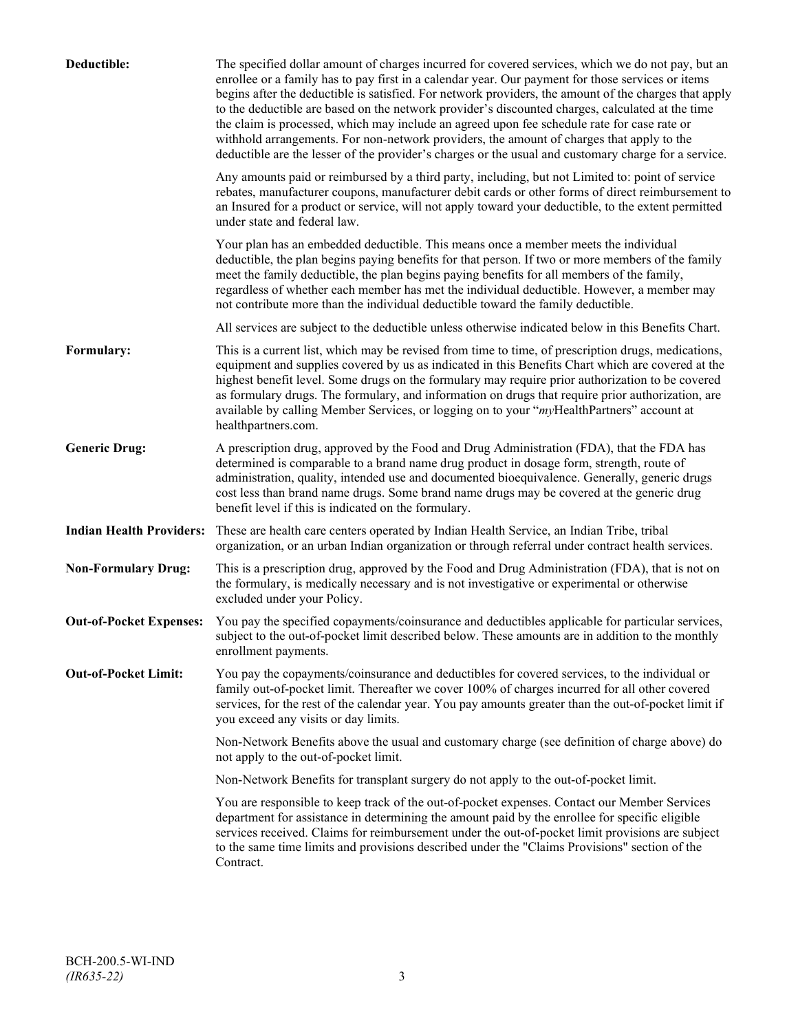| Deductible:                     | The specified dollar amount of charges incurred for covered services, which we do not pay, but an<br>enrollee or a family has to pay first in a calendar year. Our payment for those services or items<br>begins after the deductible is satisfied. For network providers, the amount of the charges that apply<br>to the deductible are based on the network provider's discounted charges, calculated at the time<br>the claim is processed, which may include an agreed upon fee schedule rate for case rate or<br>withhold arrangements. For non-network providers, the amount of charges that apply to the<br>deductible are the lesser of the provider's charges or the usual and customary charge for a service. |
|---------------------------------|-------------------------------------------------------------------------------------------------------------------------------------------------------------------------------------------------------------------------------------------------------------------------------------------------------------------------------------------------------------------------------------------------------------------------------------------------------------------------------------------------------------------------------------------------------------------------------------------------------------------------------------------------------------------------------------------------------------------------|
|                                 | Any amounts paid or reimbursed by a third party, including, but not Limited to: point of service<br>rebates, manufacturer coupons, manufacturer debit cards or other forms of direct reimbursement to<br>an Insured for a product or service, will not apply toward your deductible, to the extent permitted<br>under state and federal law.                                                                                                                                                                                                                                                                                                                                                                            |
|                                 | Your plan has an embedded deductible. This means once a member meets the individual<br>deductible, the plan begins paying benefits for that person. If two or more members of the family<br>meet the family deductible, the plan begins paying benefits for all members of the family,<br>regardless of whether each member has met the individual deductible. However, a member may<br>not contribute more than the individual deductible toward the family deductible.                                                                                                                                                                                                                                                |
|                                 | All services are subject to the deductible unless otherwise indicated below in this Benefits Chart.                                                                                                                                                                                                                                                                                                                                                                                                                                                                                                                                                                                                                     |
| Formulary:                      | This is a current list, which may be revised from time to time, of prescription drugs, medications,<br>equipment and supplies covered by us as indicated in this Benefits Chart which are covered at the<br>highest benefit level. Some drugs on the formulary may require prior authorization to be covered<br>as formulary drugs. The formulary, and information on drugs that require prior authorization, are<br>available by calling Member Services, or logging on to your "myHealthPartners" account at<br>healthpartners.com.                                                                                                                                                                                   |
| <b>Generic Drug:</b>            | A prescription drug, approved by the Food and Drug Administration (FDA), that the FDA has<br>determined is comparable to a brand name drug product in dosage form, strength, route of<br>administration, quality, intended use and documented bioequivalence. Generally, generic drugs<br>cost less than brand name drugs. Some brand name drugs may be covered at the generic drug<br>benefit level if this is indicated on the formulary.                                                                                                                                                                                                                                                                             |
| <b>Indian Health Providers:</b> | These are health care centers operated by Indian Health Service, an Indian Tribe, tribal<br>organization, or an urban Indian organization or through referral under contract health services.                                                                                                                                                                                                                                                                                                                                                                                                                                                                                                                           |
| <b>Non-Formulary Drug:</b>      | This is a prescription drug, approved by the Food and Drug Administration (FDA), that is not on<br>the formulary, is medically necessary and is not investigative or experimental or otherwise<br>excluded under your Policy.                                                                                                                                                                                                                                                                                                                                                                                                                                                                                           |
| <b>Out-of-Pocket Expenses:</b>  | You pay the specified copayments/coinsurance and deductibles applicable for particular services,<br>subject to the out-of-pocket limit described below. These amounts are in addition to the monthly<br>enrollment payments.                                                                                                                                                                                                                                                                                                                                                                                                                                                                                            |
| <b>Out-of-Pocket Limit:</b>     | You pay the copayments/coinsurance and deductibles for covered services, to the individual or<br>family out-of-pocket limit. Thereafter we cover 100% of charges incurred for all other covered<br>services, for the rest of the calendar year. You pay amounts greater than the out-of-pocket limit if<br>you exceed any visits or day limits.                                                                                                                                                                                                                                                                                                                                                                         |
|                                 | Non-Network Benefits above the usual and customary charge (see definition of charge above) do<br>not apply to the out-of-pocket limit.                                                                                                                                                                                                                                                                                                                                                                                                                                                                                                                                                                                  |
|                                 | Non-Network Benefits for transplant surgery do not apply to the out-of-pocket limit.                                                                                                                                                                                                                                                                                                                                                                                                                                                                                                                                                                                                                                    |
|                                 | You are responsible to keep track of the out-of-pocket expenses. Contact our Member Services<br>department for assistance in determining the amount paid by the enrollee for specific eligible<br>services received. Claims for reimbursement under the out-of-pocket limit provisions are subject<br>to the same time limits and provisions described under the "Claims Provisions" section of the<br>Contract.                                                                                                                                                                                                                                                                                                        |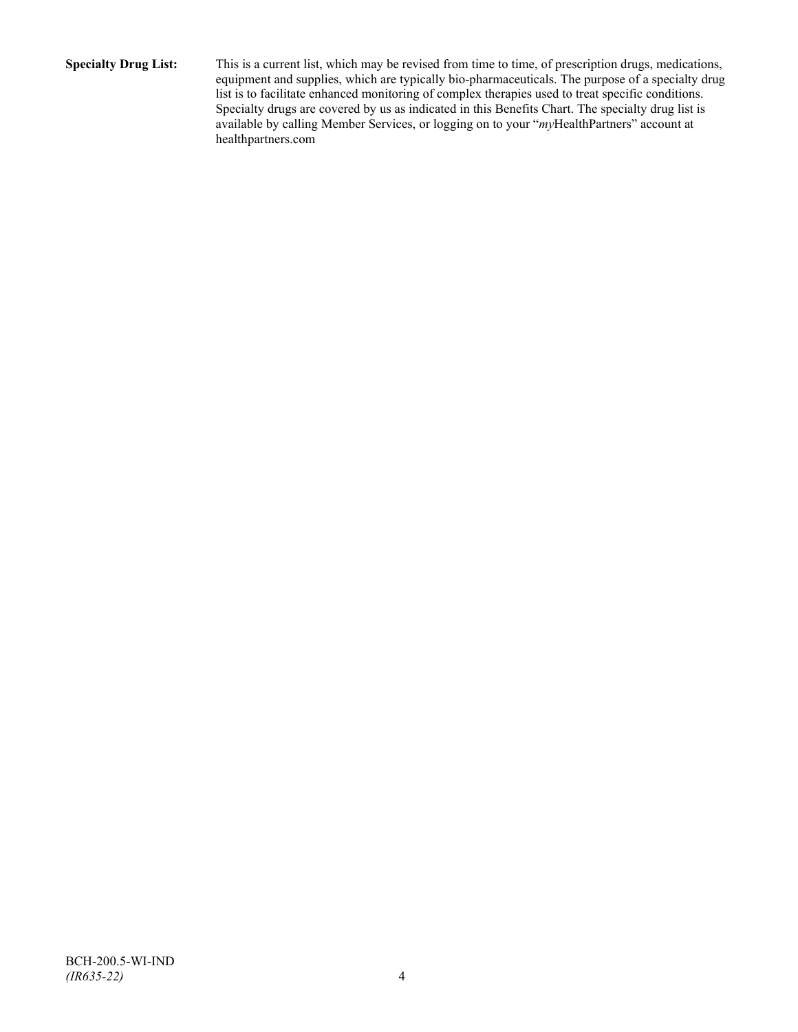**Specialty Drug List:** This is a current list, which may be revised from time to time, of prescription drugs, medications, equipment and supplies, which are typically bio-pharmaceuticals. The purpose of a specialty drug list is to facilitate enhanced monitoring of complex therapies used to treat specific conditions. Specialty drugs are covered by us as indicated in this Benefits Chart. The specialty drug list is available by calling Member Services, or logging on to your "*my*HealthPartners" account at [healthpartners.com](http://www.healthpartners.com/)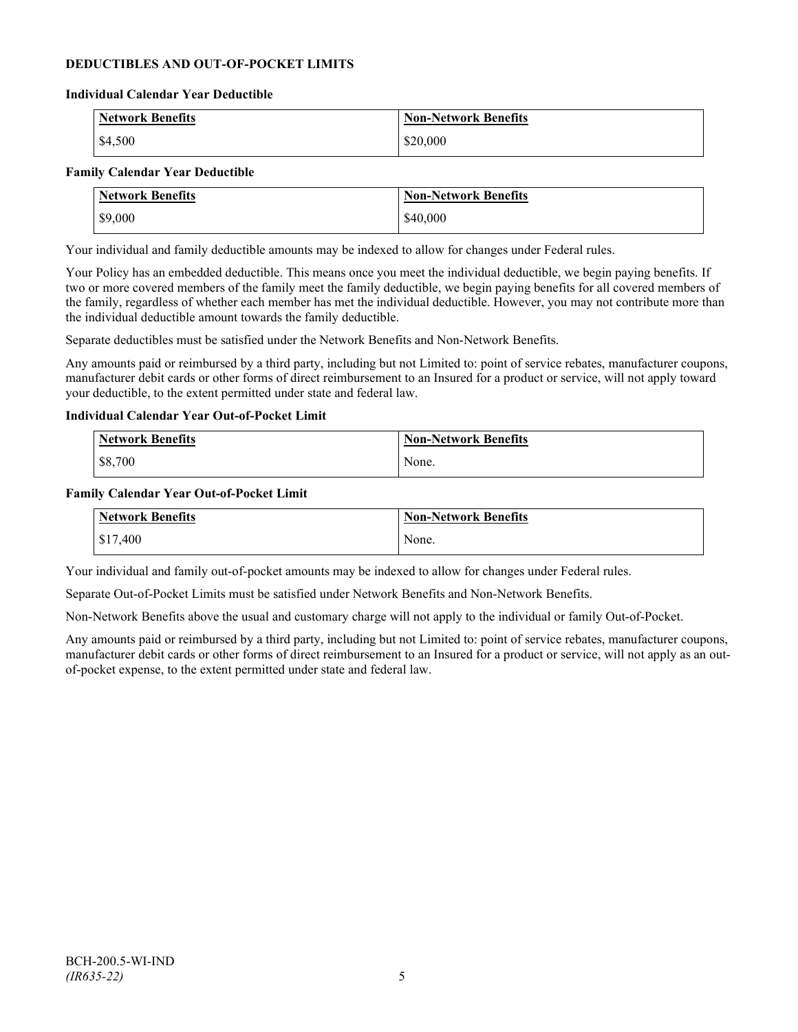## **DEDUCTIBLES AND OUT-OF-POCKET LIMITS**

#### **Individual Calendar Year Deductible**

| <b>Network Benefits</b> | <b>Non-Network Benefits</b> |
|-------------------------|-----------------------------|
| \$4,500                 | \$20,000                    |

#### **Family Calendar Year Deductible**

| <b>Network Benefits</b> | <b>Non-Network Benefits</b> |
|-------------------------|-----------------------------|
| \$9,000                 | \$40,000                    |

Your individual and family deductible amounts may be indexed to allow for changes under Federal rules.

Your Policy has an embedded deductible. This means once you meet the individual deductible, we begin paying benefits. If two or more covered members of the family meet the family deductible, we begin paying benefits for all covered members of the family, regardless of whether each member has met the individual deductible. However, you may not contribute more than the individual deductible amount towards the family deductible.

Separate deductibles must be satisfied under the Network Benefits and Non-Network Benefits.

Any amounts paid or reimbursed by a third party, including but not Limited to: point of service rebates, manufacturer coupons, manufacturer debit cards or other forms of direct reimbursement to an Insured for a product or service, will not apply toward your deductible, to the extent permitted under state and federal law.

#### **Individual Calendar Year Out-of-Pocket Limit**

| Network Benefits | <b>Non-Network Benefits</b> |
|------------------|-----------------------------|
| \$8,700          | None.                       |

#### **Family Calendar Year Out-of-Pocket Limit**

| Network Benefits | Non-Network Benefits |
|------------------|----------------------|
| \$17,400         | None.                |

Your individual and family out-of-pocket amounts may be indexed to allow for changes under Federal rules.

Separate Out-of-Pocket Limits must be satisfied under Network Benefits and Non-Network Benefits.

Non-Network Benefits above the usual and customary charge will not apply to the individual or family Out-of-Pocket.

Any amounts paid or reimbursed by a third party, including but not Limited to: point of service rebates, manufacturer coupons, manufacturer debit cards or other forms of direct reimbursement to an Insured for a product or service, will not apply as an outof-pocket expense, to the extent permitted under state and federal law.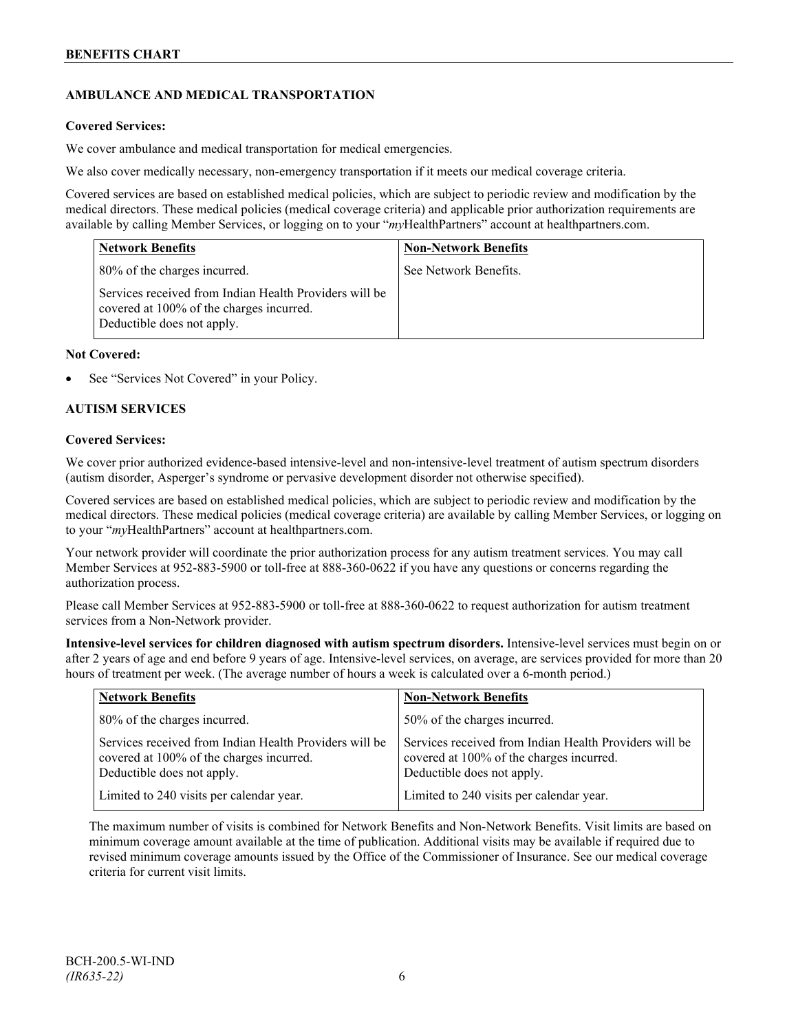# **AMBULANCE AND MEDICAL TRANSPORTATION**

## **Covered Services:**

We cover ambulance and medical transportation for medical emergencies.

We also cover medically necessary, non-emergency transportation if it meets our medical coverage criteria.

Covered services are based on established medical policies, which are subject to periodic review and modification by the medical directors. These medical policies (medical coverage criteria) and applicable prior authorization requirements are available by calling Member Services, or logging on to your "*my*HealthPartners" account a[t healthpartners.com.](http://www.healthpartners.com/)

| <b>Network Benefits</b>                                                                                                          | <b>Non-Network Benefits</b> |
|----------------------------------------------------------------------------------------------------------------------------------|-----------------------------|
| 80% of the charges incurred.                                                                                                     | See Network Benefits.       |
| Services received from Indian Health Providers will be<br>covered at 100% of the charges incurred.<br>Deductible does not apply. |                             |

#### **Not Covered:**

See "Services Not Covered" in your Policy.

## **AUTISM SERVICES**

#### **Covered Services:**

We cover prior authorized evidence-based intensive-level and non-intensive-level treatment of autism spectrum disorders (autism disorder, Asperger's syndrome or pervasive development disorder not otherwise specified).

Covered services are based on established medical policies, which are subject to periodic review and modification by the medical directors. These medical policies (medical coverage criteria) are available by calling Member Services, or logging on to your "*my*HealthPartners" account at [healthpartners.com.](http://www.healthpartners.com/)

Your network provider will coordinate the prior authorization process for any autism treatment services. You may call Member Services at 952-883-5900 or toll-free at 888-360-0622 if you have any questions or concerns regarding the authorization process.

Please call Member Services at 952-883-5900 or toll-free at 888-360-0622 to request authorization for autism treatment services from a Non-Network provider.

**Intensive-level services for children diagnosed with autism spectrum disorders.** Intensive-level services must begin on or after 2 years of age and end before 9 years of age. Intensive-level services, on average, are services provided for more than 20 hours of treatment per week. (The average number of hours a week is calculated over a 6-month period.)

| <b>Network Benefits</b>                                                                                                          | <b>Non-Network Benefits</b>                                                                                                      |
|----------------------------------------------------------------------------------------------------------------------------------|----------------------------------------------------------------------------------------------------------------------------------|
| 80% of the charges incurred.                                                                                                     | 50% of the charges incurred.                                                                                                     |
| Services received from Indian Health Providers will be<br>covered at 100% of the charges incurred.<br>Deductible does not apply. | Services received from Indian Health Providers will be<br>covered at 100% of the charges incurred.<br>Deductible does not apply. |
| Limited to 240 visits per calendar year.                                                                                         | Limited to 240 visits per calendar year.                                                                                         |

The maximum number of visits is combined for Network Benefits and Non-Network Benefits. Visit limits are based on minimum coverage amount available at the time of publication. Additional visits may be available if required due to revised minimum coverage amounts issued by the Office of the Commissioner of Insurance. See our medical coverage criteria for current visit limits.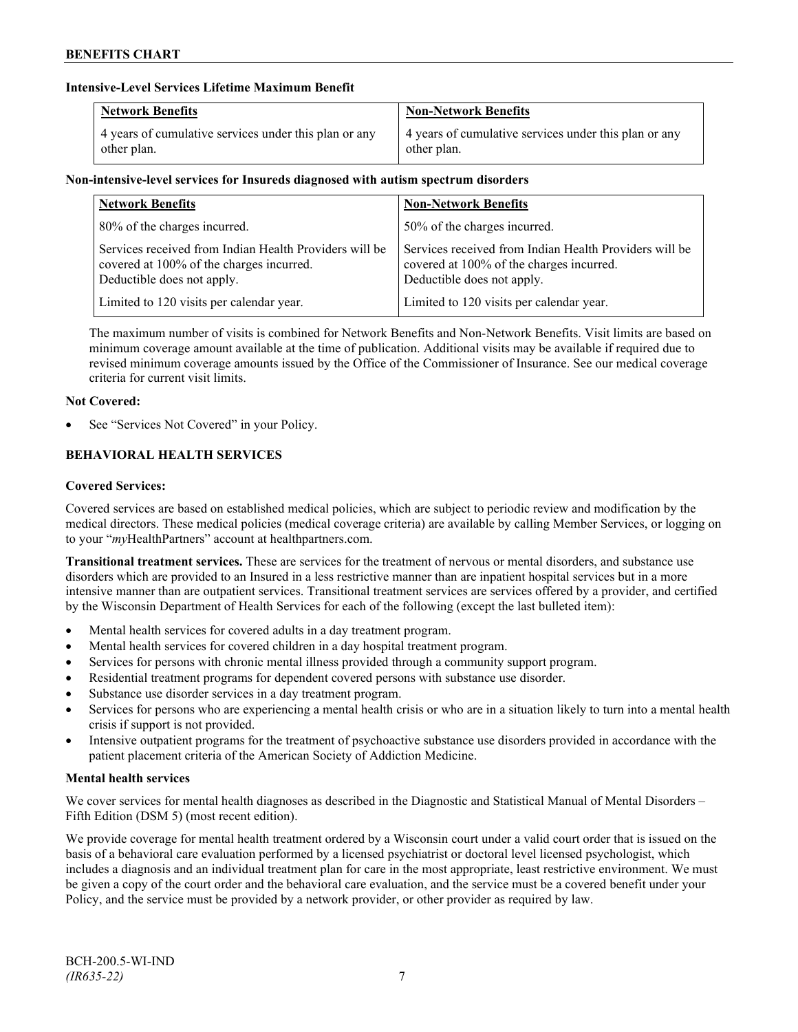## **Intensive-Level Services Lifetime Maximum Benefit**

| <b>Network Benefits</b>                               | <b>Non-Network Benefits</b>                           |
|-------------------------------------------------------|-------------------------------------------------------|
| 4 years of cumulative services under this plan or any | 4 years of cumulative services under this plan or any |
| other plan.                                           | other plan.                                           |

# **Non-intensive-level services for Insureds diagnosed with autism spectrum disorders**

| <b>Network Benefits</b>                                                                                                          | <b>Non-Network Benefits</b>                                                                                                      |
|----------------------------------------------------------------------------------------------------------------------------------|----------------------------------------------------------------------------------------------------------------------------------|
| 80% of the charges incurred.                                                                                                     | 50% of the charges incurred.                                                                                                     |
| Services received from Indian Health Providers will be<br>covered at 100% of the charges incurred.<br>Deductible does not apply. | Services received from Indian Health Providers will be<br>covered at 100% of the charges incurred.<br>Deductible does not apply. |
| Limited to 120 visits per calendar year.                                                                                         | Limited to 120 visits per calendar year.                                                                                         |

The maximum number of visits is combined for Network Benefits and Non-Network Benefits. Visit limits are based on minimum coverage amount available at the time of publication. Additional visits may be available if required due to revised minimum coverage amounts issued by the Office of the Commissioner of Insurance. See our medical coverage criteria for current visit limits.

# **Not Covered:**

See "Services Not Covered" in your Policy.

# **BEHAVIORAL HEALTH SERVICES**

# **Covered Services:**

Covered services are based on established medical policies, which are subject to periodic review and modification by the medical directors. These medical policies (medical coverage criteria) are available by calling Member Services, or logging on to your "*my*HealthPartners" account at [healthpartners.com.](http://www.healthpartners.com/)

**Transitional treatment services.** These are services for the treatment of nervous or mental disorders, and substance use disorders which are provided to an Insured in a less restrictive manner than are inpatient hospital services but in a more intensive manner than are outpatient services. Transitional treatment services are services offered by a provider, and certified by the Wisconsin Department of Health Services for each of the following (except the last bulleted item):

- Mental health services for covered adults in a day treatment program.
- Mental health services for covered children in a day hospital treatment program.
- Services for persons with chronic mental illness provided through a community support program.
- Residential treatment programs for dependent covered persons with substance use disorder.
- Substance use disorder services in a day treatment program.
- Services for persons who are experiencing a mental health crisis or who are in a situation likely to turn into a mental health crisis if support is not provided.
- Intensive outpatient programs for the treatment of psychoactive substance use disorders provided in accordance with the patient placement criteria of the American Society of Addiction Medicine.

# **Mental health services**

We cover services for mental health diagnoses as described in the Diagnostic and Statistical Manual of Mental Disorders – Fifth Edition (DSM 5) (most recent edition).

We provide coverage for mental health treatment ordered by a Wisconsin court under a valid court order that is issued on the basis of a behavioral care evaluation performed by a licensed psychiatrist or doctoral level licensed psychologist, which includes a diagnosis and an individual treatment plan for care in the most appropriate, least restrictive environment. We must be given a copy of the court order and the behavioral care evaluation, and the service must be a covered benefit under your Policy, and the service must be provided by a network provider, or other provider as required by law.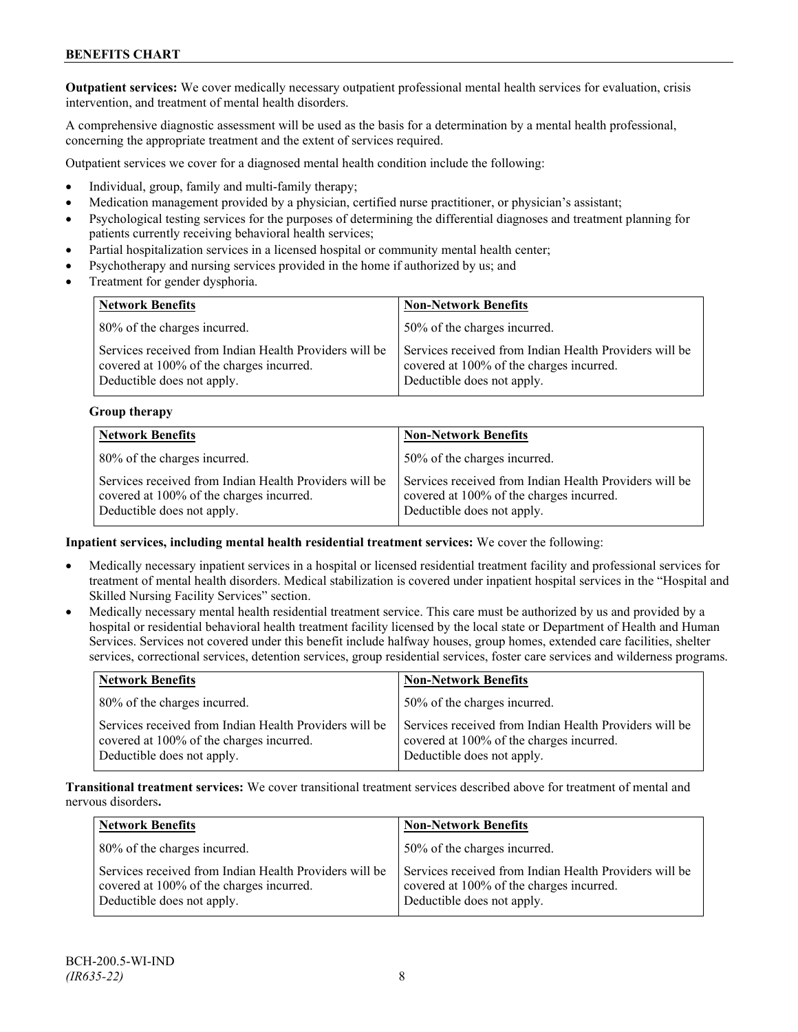**Outpatient services:** We cover medically necessary outpatient professional mental health services for evaluation, crisis intervention, and treatment of mental health disorders.

A comprehensive diagnostic assessment will be used as the basis for a determination by a mental health professional, concerning the appropriate treatment and the extent of services required.

Outpatient services we cover for a diagnosed mental health condition include the following:

- Individual, group, family and multi-family therapy;
- Medication management provided by a physician, certified nurse practitioner, or physician's assistant;
- Psychological testing services for the purposes of determining the differential diagnoses and treatment planning for patients currently receiving behavioral health services;
- Partial hospitalization services in a licensed hospital or community mental health center;
- Psychotherapy and nursing services provided in the home if authorized by us; and
- Treatment for gender dysphoria.

| <b>Network Benefits</b>                                                                                                          | <b>Non-Network Benefits</b>                                                                                                      |
|----------------------------------------------------------------------------------------------------------------------------------|----------------------------------------------------------------------------------------------------------------------------------|
| 80% of the charges incurred.                                                                                                     | 50% of the charges incurred.                                                                                                     |
| Services received from Indian Health Providers will be<br>covered at 100% of the charges incurred.<br>Deductible does not apply. | Services received from Indian Health Providers will be<br>covered at 100% of the charges incurred.<br>Deductible does not apply. |

#### **Group therapy**

| <b>Network Benefits</b>                                                                                                          | <b>Non-Network Benefits</b>                                                                                                      |
|----------------------------------------------------------------------------------------------------------------------------------|----------------------------------------------------------------------------------------------------------------------------------|
| 80% of the charges incurred.                                                                                                     | 50% of the charges incurred.                                                                                                     |
| Services received from Indian Health Providers will be<br>covered at 100% of the charges incurred.<br>Deductible does not apply. | Services received from Indian Health Providers will be<br>covered at 100% of the charges incurred.<br>Deductible does not apply. |

#### **Inpatient services, including mental health residential treatment services:** We cover the following:

- Medically necessary inpatient services in a hospital or licensed residential treatment facility and professional services for treatment of mental health disorders. Medical stabilization is covered under inpatient hospital services in the "Hospital and Skilled Nursing Facility Services" section.
- Medically necessary mental health residential treatment service. This care must be authorized by us and provided by a hospital or residential behavioral health treatment facility licensed by the local state or Department of Health and Human Services. Services not covered under this benefit include halfway houses, group homes, extended care facilities, shelter services, correctional services, detention services, group residential services, foster care services and wilderness programs.

| <b>Network Benefits</b>                                                                                                          | <b>Non-Network Benefits</b>                                                                                                      |
|----------------------------------------------------------------------------------------------------------------------------------|----------------------------------------------------------------------------------------------------------------------------------|
| 80% of the charges incurred.                                                                                                     | 50% of the charges incurred.                                                                                                     |
| Services received from Indian Health Providers will be<br>covered at 100% of the charges incurred.<br>Deductible does not apply. | Services received from Indian Health Providers will be<br>covered at 100% of the charges incurred.<br>Deductible does not apply. |

**Transitional treatment services:** We cover transitional treatment services described above for treatment of mental and nervous disorders**.**

| <b>Network Benefits</b>                                                                                                          | <b>Non-Network Benefits</b>                                                                                                      |
|----------------------------------------------------------------------------------------------------------------------------------|----------------------------------------------------------------------------------------------------------------------------------|
| 80% of the charges incurred.                                                                                                     | 50% of the charges incurred.                                                                                                     |
| Services received from Indian Health Providers will be<br>covered at 100% of the charges incurred.<br>Deductible does not apply. | Services received from Indian Health Providers will be<br>covered at 100% of the charges incurred.<br>Deductible does not apply. |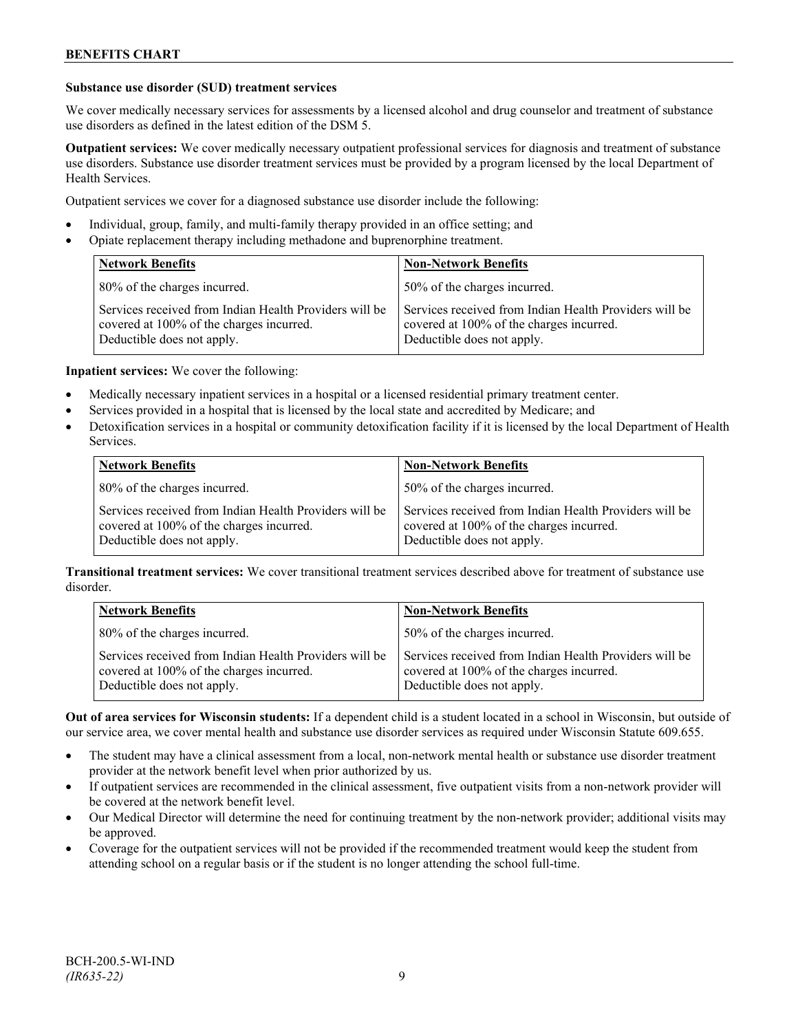#### **Substance use disorder (SUD) treatment services**

We cover medically necessary services for assessments by a licensed alcohol and drug counselor and treatment of substance use disorders as defined in the latest edition of the DSM 5.

**Outpatient services:** We cover medically necessary outpatient professional services for diagnosis and treatment of substance use disorders. Substance use disorder treatment services must be provided by a program licensed by the local Department of Health Services.

Outpatient services we cover for a diagnosed substance use disorder include the following:

- Individual, group, family, and multi-family therapy provided in an office setting; and
- Opiate replacement therapy including methadone and buprenorphine treatment.

| <b>Network Benefits</b>                                                                                                          | <b>Non-Network Benefits</b>                                                                                                      |
|----------------------------------------------------------------------------------------------------------------------------------|----------------------------------------------------------------------------------------------------------------------------------|
| 80% of the charges incurred.                                                                                                     | 50% of the charges incurred.                                                                                                     |
| Services received from Indian Health Providers will be<br>covered at 100% of the charges incurred.<br>Deductible does not apply. | Services received from Indian Health Providers will be<br>covered at 100% of the charges incurred.<br>Deductible does not apply. |

**Inpatient services:** We cover the following:

- Medically necessary inpatient services in a hospital or a licensed residential primary treatment center.
- Services provided in a hospital that is licensed by the local state and accredited by Medicare; and
- Detoxification services in a hospital or community detoxification facility if it is licensed by the local Department of Health Services.

| <b>Network Benefits</b>                                                                                                          | <b>Non-Network Benefits</b>                                                                                                      |
|----------------------------------------------------------------------------------------------------------------------------------|----------------------------------------------------------------------------------------------------------------------------------|
| 80% of the charges incurred.                                                                                                     | 50% of the charges incurred.                                                                                                     |
| Services received from Indian Health Providers will be<br>covered at 100% of the charges incurred.<br>Deductible does not apply. | Services received from Indian Health Providers will be<br>covered at 100% of the charges incurred.<br>Deductible does not apply. |

**Transitional treatment services:** We cover transitional treatment services described above for treatment of substance use disorder.

| <b>Network Benefits</b>                                                                                                          | <b>Non-Network Benefits</b>                                                                                                      |
|----------------------------------------------------------------------------------------------------------------------------------|----------------------------------------------------------------------------------------------------------------------------------|
| 80% of the charges incurred.                                                                                                     | 50% of the charges incurred.                                                                                                     |
| Services received from Indian Health Providers will be<br>covered at 100% of the charges incurred.<br>Deductible does not apply. | Services received from Indian Health Providers will be<br>covered at 100% of the charges incurred.<br>Deductible does not apply. |

**Out of area services for Wisconsin students:** If a dependent child is a student located in a school in Wisconsin, but outside of our service area, we cover mental health and substance use disorder services as required under Wisconsin Statute 609.655.

- The student may have a clinical assessment from a local, non-network mental health or substance use disorder treatment provider at the network benefit level when prior authorized by us.
- If outpatient services are recommended in the clinical assessment, five outpatient visits from a non-network provider will be covered at the network benefit level.
- Our Medical Director will determine the need for continuing treatment by the non-network provider; additional visits may be approved.
- Coverage for the outpatient services will not be provided if the recommended treatment would keep the student from attending school on a regular basis or if the student is no longer attending the school full-time.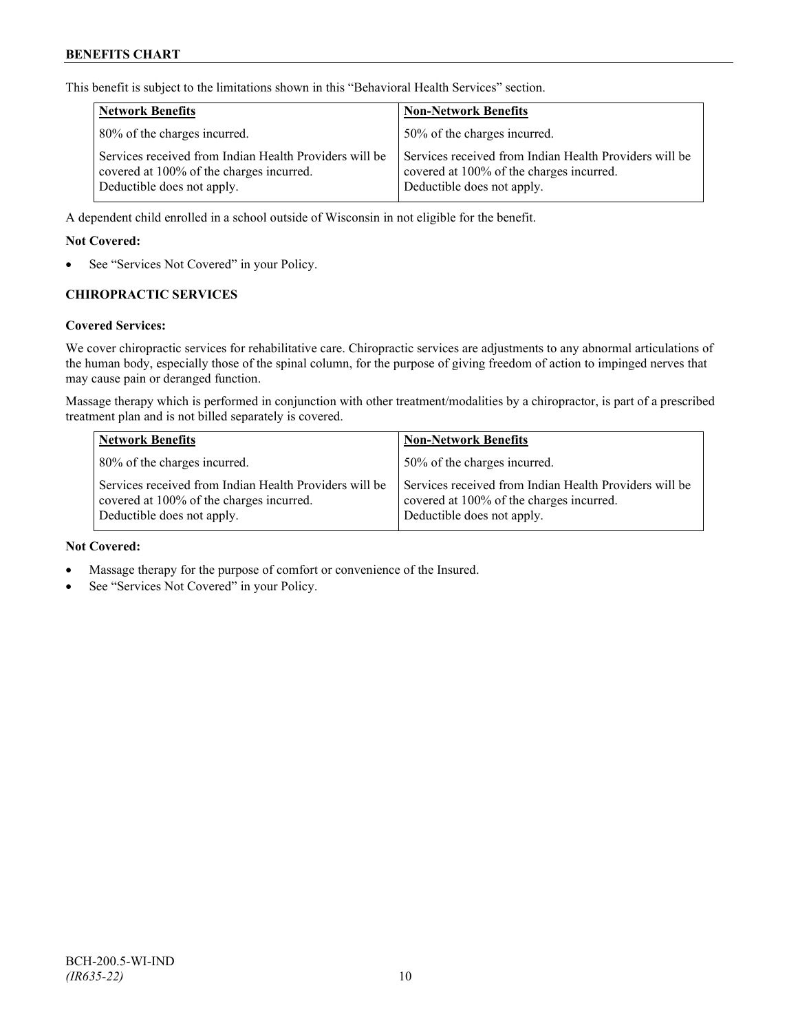This benefit is subject to the limitations shown in this "Behavioral Health Services" section.

| <b>Network Benefits</b>                                                                                                          | <b>Non-Network Benefits</b>                                                                                                      |
|----------------------------------------------------------------------------------------------------------------------------------|----------------------------------------------------------------------------------------------------------------------------------|
| 80% of the charges incurred.                                                                                                     | 50% of the charges incurred.                                                                                                     |
| Services received from Indian Health Providers will be<br>covered at 100% of the charges incurred.<br>Deductible does not apply. | Services received from Indian Health Providers will be<br>covered at 100% of the charges incurred.<br>Deductible does not apply. |

A dependent child enrolled in a school outside of Wisconsin in not eligible for the benefit.

#### **Not Covered:**

See "Services Not Covered" in your Policy.

## **CHIROPRACTIC SERVICES**

#### **Covered Services:**

We cover chiropractic services for rehabilitative care. Chiropractic services are adjustments to any abnormal articulations of the human body, especially those of the spinal column, for the purpose of giving freedom of action to impinged nerves that may cause pain or deranged function.

Massage therapy which is performed in conjunction with other treatment/modalities by a chiropractor, is part of a prescribed treatment plan and is not billed separately is covered.

| <b>Network Benefits</b>                                                                                                          | <b>Non-Network Benefits</b>                                                                                                      |
|----------------------------------------------------------------------------------------------------------------------------------|----------------------------------------------------------------------------------------------------------------------------------|
| 80% of the charges incurred.                                                                                                     | 50% of the charges incurred.                                                                                                     |
| Services received from Indian Health Providers will be<br>covered at 100% of the charges incurred.<br>Deductible does not apply. | Services received from Indian Health Providers will be<br>covered at 100% of the charges incurred.<br>Deductible does not apply. |

#### **Not Covered:**

- Massage therapy for the purpose of comfort or convenience of the Insured.
- See "Services Not Covered" in your Policy.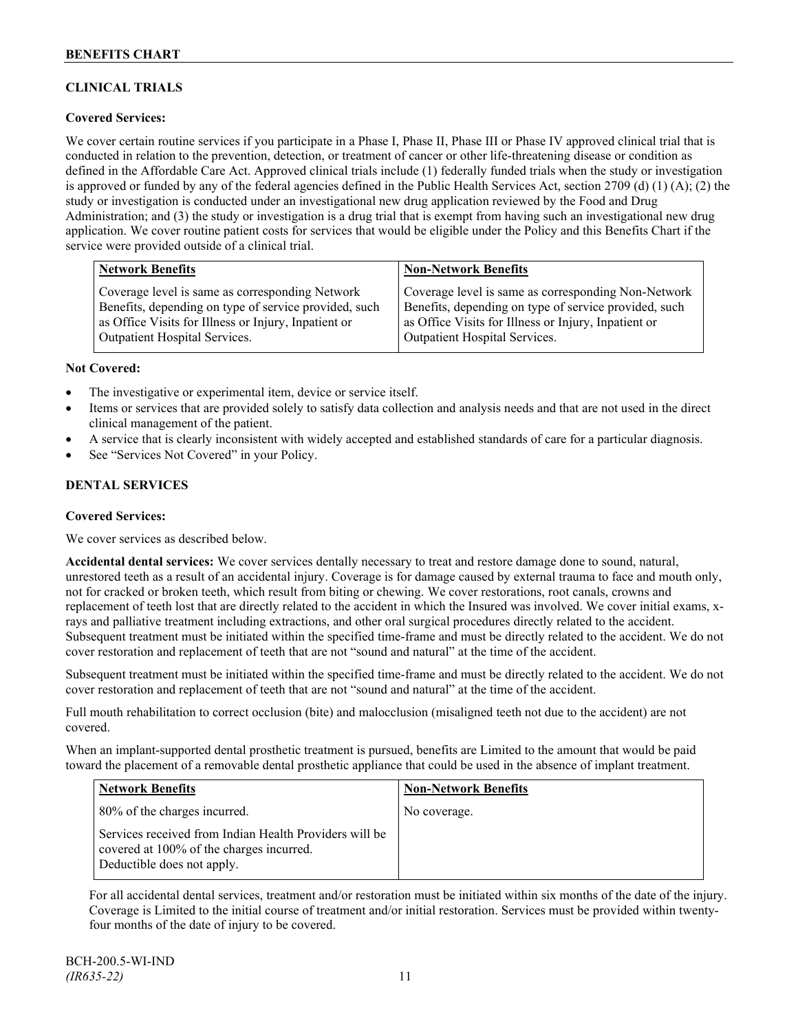# **CLINICAL TRIALS**

## **Covered Services:**

We cover certain routine services if you participate in a Phase I, Phase II, Phase III or Phase IV approved clinical trial that is conducted in relation to the prevention, detection, or treatment of cancer or other life-threatening disease or condition as defined in the Affordable Care Act. Approved clinical trials include (1) federally funded trials when the study or investigation is approved or funded by any of the federal agencies defined in the Public Health Services Act, section 2709 (d) (1) (A); (2) the study or investigation is conducted under an investigational new drug application reviewed by the Food and Drug Administration; and (3) the study or investigation is a drug trial that is exempt from having such an investigational new drug application. We cover routine patient costs for services that would be eligible under the Policy and this Benefits Chart if the service were provided outside of a clinical trial.

| <b>Network Benefits</b>                               | <b>Non-Network Benefits</b>                           |
|-------------------------------------------------------|-------------------------------------------------------|
| Coverage level is same as corresponding Network       | Coverage level is same as corresponding Non-Network   |
| Benefits, depending on type of service provided, such | Benefits, depending on type of service provided, such |
| as Office Visits for Illness or Injury, Inpatient or  | as Office Visits for Illness or Injury, Inpatient or  |
| <b>Outpatient Hospital Services.</b>                  | Outpatient Hospital Services.                         |

#### **Not Covered:**

- The investigative or experimental item, device or service itself.
- Items or services that are provided solely to satisfy data collection and analysis needs and that are not used in the direct clinical management of the patient.
- A service that is clearly inconsistent with widely accepted and established standards of care for a particular diagnosis.
- See "Services Not Covered" in your Policy.

## **DENTAL SERVICES**

#### **Covered Services:**

We cover services as described below.

**Accidental dental services:** We cover services dentally necessary to treat and restore damage done to sound, natural, unrestored teeth as a result of an accidental injury. Coverage is for damage caused by external trauma to face and mouth only, not for cracked or broken teeth, which result from biting or chewing. We cover restorations, root canals, crowns and replacement of teeth lost that are directly related to the accident in which the Insured was involved. We cover initial exams, xrays and palliative treatment including extractions, and other oral surgical procedures directly related to the accident. Subsequent treatment must be initiated within the specified time-frame and must be directly related to the accident. We do not cover restoration and replacement of teeth that are not "sound and natural" at the time of the accident.

Subsequent treatment must be initiated within the specified time-frame and must be directly related to the accident. We do not cover restoration and replacement of teeth that are not "sound and natural" at the time of the accident.

Full mouth rehabilitation to correct occlusion (bite) and malocclusion (misaligned teeth not due to the accident) are not covered.

When an implant-supported dental prosthetic treatment is pursued, benefits are Limited to the amount that would be paid toward the placement of a removable dental prosthetic appliance that could be used in the absence of implant treatment.

| Network Benefits                                                                                                                 | <b>Non-Network Benefits</b> |
|----------------------------------------------------------------------------------------------------------------------------------|-----------------------------|
| 80% of the charges incurred.                                                                                                     | No coverage.                |
| Services received from Indian Health Providers will be<br>covered at 100% of the charges incurred.<br>Deductible does not apply. |                             |

For all accidental dental services, treatment and/or restoration must be initiated within six months of the date of the injury. Coverage is Limited to the initial course of treatment and/or initial restoration. Services must be provided within twentyfour months of the date of injury to be covered.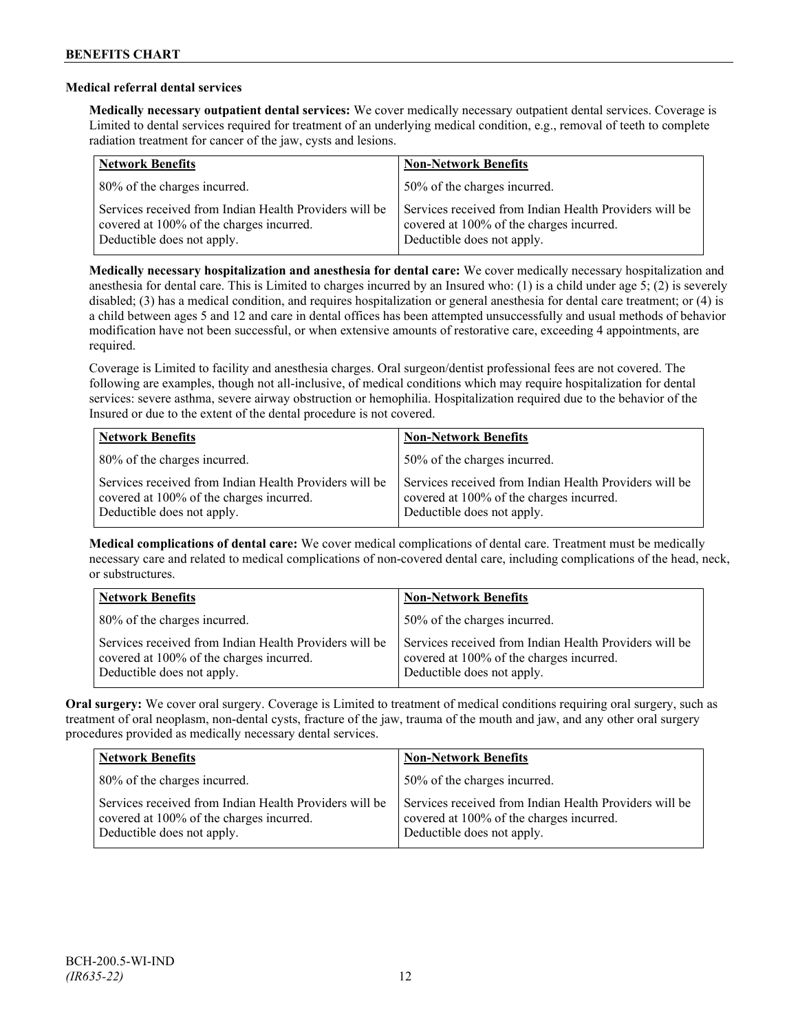## **Medical referral dental services**

**Medically necessary outpatient dental services:** We cover medically necessary outpatient dental services. Coverage is Limited to dental services required for treatment of an underlying medical condition, e.g., removal of teeth to complete radiation treatment for cancer of the jaw, cysts and lesions.

| <b>Network Benefits</b>                                                                                                          | <b>Non-Network Benefits</b>                                                                                                      |
|----------------------------------------------------------------------------------------------------------------------------------|----------------------------------------------------------------------------------------------------------------------------------|
| 80% of the charges incurred.                                                                                                     | 50% of the charges incurred.                                                                                                     |
| Services received from Indian Health Providers will be<br>covered at 100% of the charges incurred.<br>Deductible does not apply. | Services received from Indian Health Providers will be<br>covered at 100% of the charges incurred.<br>Deductible does not apply. |

**Medically necessary hospitalization and anesthesia for dental care:** We cover medically necessary hospitalization and anesthesia for dental care. This is Limited to charges incurred by an Insured who: (1) is a child under age 5; (2) is severely disabled; (3) has a medical condition, and requires hospitalization or general anesthesia for dental care treatment; or (4) is a child between ages 5 and 12 and care in dental offices has been attempted unsuccessfully and usual methods of behavior modification have not been successful, or when extensive amounts of restorative care, exceeding 4 appointments, are required.

Coverage is Limited to facility and anesthesia charges. Oral surgeon/dentist professional fees are not covered. The following are examples, though not all-inclusive, of medical conditions which may require hospitalization for dental services: severe asthma, severe airway obstruction or hemophilia. Hospitalization required due to the behavior of the Insured or due to the extent of the dental procedure is not covered.

| <b>Network Benefits</b>                                                                                                          | <b>Non-Network Benefits</b>                                                                                                      |
|----------------------------------------------------------------------------------------------------------------------------------|----------------------------------------------------------------------------------------------------------------------------------|
| 80% of the charges incurred.                                                                                                     | 50% of the charges incurred.                                                                                                     |
| Services received from Indian Health Providers will be<br>covered at 100% of the charges incurred.<br>Deductible does not apply. | Services received from Indian Health Providers will be<br>covered at 100% of the charges incurred.<br>Deductible does not apply. |

**Medical complications of dental care:** We cover medical complications of dental care. Treatment must be medically necessary care and related to medical complications of non-covered dental care, including complications of the head, neck, or substructures.

| <b>Network Benefits</b>                                                                                                          | <b>Non-Network Benefits</b>                                                                                                      |
|----------------------------------------------------------------------------------------------------------------------------------|----------------------------------------------------------------------------------------------------------------------------------|
| 80% of the charges incurred.                                                                                                     | 50% of the charges incurred.                                                                                                     |
| Services received from Indian Health Providers will be<br>covered at 100% of the charges incurred.<br>Deductible does not apply. | Services received from Indian Health Providers will be<br>covered at 100% of the charges incurred.<br>Deductible does not apply. |

**Oral surgery:** We cover oral surgery. Coverage is Limited to treatment of medical conditions requiring oral surgery, such as treatment of oral neoplasm, non-dental cysts, fracture of the jaw, trauma of the mouth and jaw, and any other oral surgery procedures provided as medically necessary dental services.

| <b>Network Benefits</b>                                                                                                          | <b>Non-Network Benefits</b>                                                                                                      |
|----------------------------------------------------------------------------------------------------------------------------------|----------------------------------------------------------------------------------------------------------------------------------|
| 80% of the charges incurred.                                                                                                     | 50% of the charges incurred.                                                                                                     |
| Services received from Indian Health Providers will be<br>covered at 100% of the charges incurred.<br>Deductible does not apply. | Services received from Indian Health Providers will be<br>covered at 100% of the charges incurred.<br>Deductible does not apply. |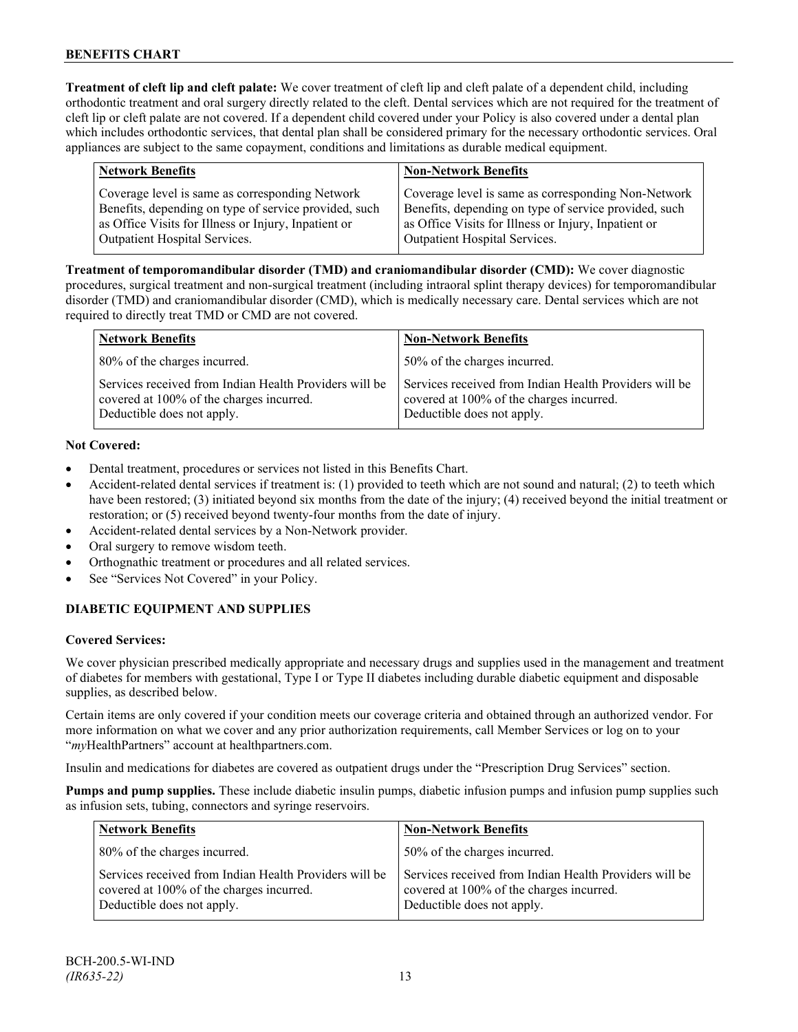**Treatment of cleft lip and cleft palate:** We cover treatment of cleft lip and cleft palate of a dependent child, including orthodontic treatment and oral surgery directly related to the cleft. Dental services which are not required for the treatment of cleft lip or cleft palate are not covered. If a dependent child covered under your Policy is also covered under a dental plan which includes orthodontic services, that dental plan shall be considered primary for the necessary orthodontic services. Oral appliances are subject to the same copayment, conditions and limitations as durable medical equipment.

| <b>Network Benefits</b>                               | <b>Non-Network Benefits</b>                           |
|-------------------------------------------------------|-------------------------------------------------------|
| Coverage level is same as corresponding Network       | Coverage level is same as corresponding Non-Network   |
| Benefits, depending on type of service provided, such | Benefits, depending on type of service provided, such |
| as Office Visits for Illness or Injury, Inpatient or  | as Office Visits for Illness or Injury, Inpatient or  |
| Outpatient Hospital Services.                         | Outpatient Hospital Services.                         |

**Treatment of temporomandibular disorder (TMD) and craniomandibular disorder (CMD):** We cover diagnostic procedures, surgical treatment and non-surgical treatment (including intraoral splint therapy devices) for temporomandibular disorder (TMD) and craniomandibular disorder (CMD), which is medically necessary care. Dental services which are not required to directly treat TMD or CMD are not covered.

| <b>Network Benefits</b>                                                                                                          | <b>Non-Network Benefits</b>                                                                                                      |
|----------------------------------------------------------------------------------------------------------------------------------|----------------------------------------------------------------------------------------------------------------------------------|
| 80% of the charges incurred.                                                                                                     | 50% of the charges incurred.                                                                                                     |
| Services received from Indian Health Providers will be<br>covered at 100% of the charges incurred.<br>Deductible does not apply. | Services received from Indian Health Providers will be<br>covered at 100% of the charges incurred.<br>Deductible does not apply. |

## **Not Covered:**

- Dental treatment, procedures or services not listed in this Benefits Chart.
- Accident-related dental services if treatment is: (1) provided to teeth which are not sound and natural; (2) to teeth which have been restored; (3) initiated beyond six months from the date of the injury; (4) received beyond the initial treatment or restoration; or (5) received beyond twenty-four months from the date of injury.
- Accident-related dental services by a Non-Network provider.
- Oral surgery to remove wisdom teeth.
- Orthognathic treatment or procedures and all related services.
- See "Services Not Covered" in your Policy.

# **DIABETIC EQUIPMENT AND SUPPLIES**

## **Covered Services:**

We cover physician prescribed medically appropriate and necessary drugs and supplies used in the management and treatment of diabetes for members with gestational, Type I or Type II diabetes including durable diabetic equipment and disposable supplies, as described below.

Certain items are only covered if your condition meets our coverage criteria and obtained through an authorized vendor. For more information on what we cover and any prior authorization requirements, call Member Services or log on to your "*my*HealthPartners" account at [healthpartners.com.](http://www.healthpartners.com/)

Insulin and medications for diabetes are covered as outpatient drugs under the "Prescription Drug Services" section.

**Pumps and pump supplies.** These include diabetic insulin pumps, diabetic infusion pumps and infusion pump supplies such as infusion sets, tubing, connectors and syringe reservoirs.

| <b>Network Benefits</b>                                                                                                          | <b>Non-Network Benefits</b>                                                                                                      |  |
|----------------------------------------------------------------------------------------------------------------------------------|----------------------------------------------------------------------------------------------------------------------------------|--|
| 80% of the charges incurred.                                                                                                     | 50% of the charges incurred.                                                                                                     |  |
| Services received from Indian Health Providers will be<br>covered at 100% of the charges incurred.<br>Deductible does not apply. | Services received from Indian Health Providers will be<br>covered at 100% of the charges incurred.<br>Deductible does not apply. |  |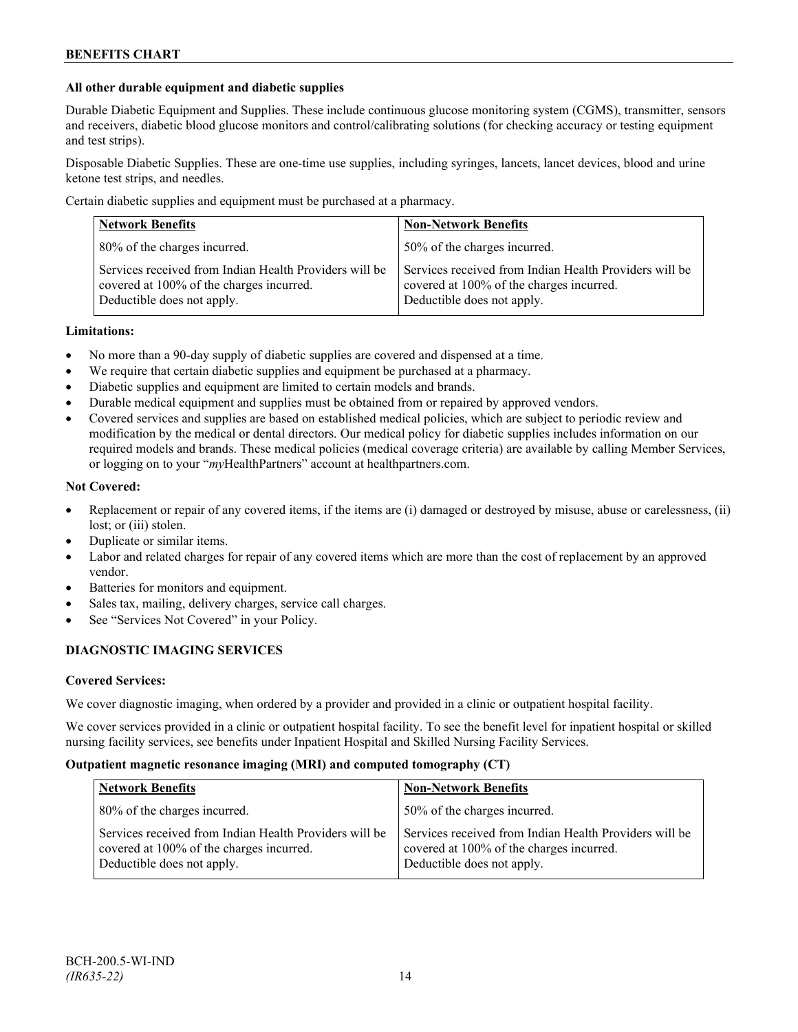## **All other durable equipment and diabetic supplies**

Durable Diabetic Equipment and Supplies. These include continuous glucose monitoring system (CGMS), transmitter, sensors and receivers, diabetic blood glucose monitors and control/calibrating solutions (for checking accuracy or testing equipment and test strips).

Disposable Diabetic Supplies. These are one-time use supplies, including syringes, lancets, lancet devices, blood and urine ketone test strips, and needles.

Certain diabetic supplies and equipment must be purchased at a pharmacy.

| <b>Network Benefits</b>                                                                                                          | <b>Non-Network Benefits</b>                                                                                                      |  |
|----------------------------------------------------------------------------------------------------------------------------------|----------------------------------------------------------------------------------------------------------------------------------|--|
| 80% of the charges incurred.                                                                                                     | 50% of the charges incurred.                                                                                                     |  |
| Services received from Indian Health Providers will be<br>covered at 100% of the charges incurred.<br>Deductible does not apply. | Services received from Indian Health Providers will be<br>covered at 100% of the charges incurred.<br>Deductible does not apply. |  |

#### **Limitations:**

- No more than a 90-day supply of diabetic supplies are covered and dispensed at a time.
- We require that certain diabetic supplies and equipment be purchased at a pharmacy.
- Diabetic supplies and equipment are limited to certain models and brands.
- Durable medical equipment and supplies must be obtained from or repaired by approved vendors.
- Covered services and supplies are based on established medical policies, which are subject to periodic review and modification by the medical or dental directors. Our medical policy for diabetic supplies includes information on our required models and brands. These medical policies (medical coverage criteria) are available by calling Member Services, or logging on to your "*my*HealthPartners" account at healthpartners.com.

#### **Not Covered:**

- Replacement or repair of any covered items, if the items are (i) damaged or destroyed by misuse, abuse or carelessness, (ii) lost; or (iii) stolen.
- Duplicate or similar items.
- Labor and related charges for repair of any covered items which are more than the cost of replacement by an approved vendor.
- Batteries for monitors and equipment.
- Sales tax, mailing, delivery charges, service call charges.
- See "Services Not Covered" in your Policy.

## **DIAGNOSTIC IMAGING SERVICES**

#### **Covered Services:**

We cover diagnostic imaging, when ordered by a provider and provided in a clinic or outpatient hospital facility.

We cover services provided in a clinic or outpatient hospital facility. To see the benefit level for inpatient hospital or skilled nursing facility services, see benefits under Inpatient Hospital and Skilled Nursing Facility Services.

#### **Outpatient magnetic resonance imaging (MRI) and computed tomography (CT)**

| <b>Network Benefits</b>                                                                                                          | <b>Non-Network Benefits</b>                                                                                                      |
|----------------------------------------------------------------------------------------------------------------------------------|----------------------------------------------------------------------------------------------------------------------------------|
| 80% of the charges incurred.                                                                                                     | 50% of the charges incurred.                                                                                                     |
| Services received from Indian Health Providers will be<br>covered at 100% of the charges incurred.<br>Deductible does not apply. | Services received from Indian Health Providers will be<br>covered at 100% of the charges incurred.<br>Deductible does not apply. |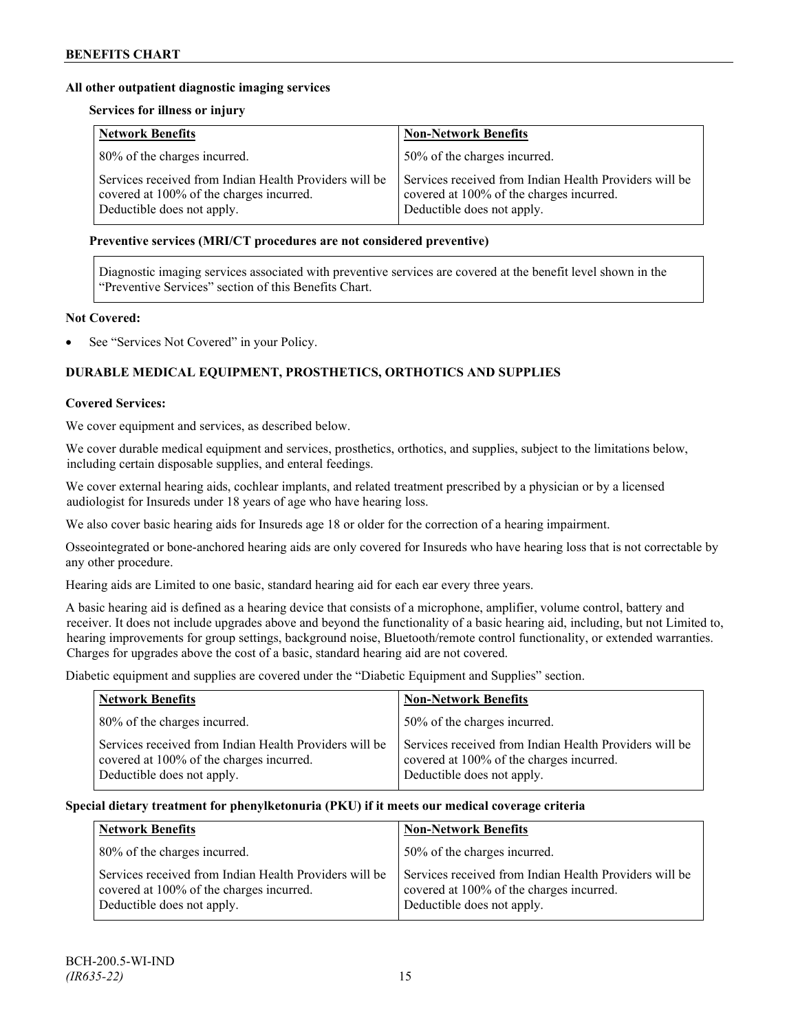## **All other outpatient diagnostic imaging services**

#### **Services for illness or injury**

| <b>Network Benefits</b>                                                                                                          | <b>Non-Network Benefits</b>                                                                                                      |  |
|----------------------------------------------------------------------------------------------------------------------------------|----------------------------------------------------------------------------------------------------------------------------------|--|
| 80% of the charges incurred.                                                                                                     | 50% of the charges incurred.                                                                                                     |  |
| Services received from Indian Health Providers will be<br>covered at 100% of the charges incurred.<br>Deductible does not apply. | Services received from Indian Health Providers will be<br>covered at 100% of the charges incurred.<br>Deductible does not apply. |  |

#### **Preventive services (MRI/CT procedures are not considered preventive)**

Diagnostic imaging services associated with preventive services are covered at the benefit level shown in the "Preventive Services" section of this Benefits Chart.

# **Not Covered:**

See "Services Not Covered" in your Policy.

# **DURABLE MEDICAL EQUIPMENT, PROSTHETICS, ORTHOTICS AND SUPPLIES**

#### **Covered Services:**

We cover equipment and services, as described below.

We cover durable medical equipment and services, prosthetics, orthotics, and supplies, subject to the limitations below, including certain disposable supplies, and enteral feedings.

We cover external hearing aids, cochlear implants, and related treatment prescribed by a physician or by a licensed audiologist for Insureds under 18 years of age who have hearing loss.

We also cover basic hearing aids for Insureds age 18 or older for the correction of a hearing impairment.

Osseointegrated or bone-anchored hearing aids are only covered for Insureds who have hearing loss that is not correctable by any other procedure.

Hearing aids are Limited to one basic, standard hearing aid for each ear every three years.

A basic hearing aid is defined as a hearing device that consists of a microphone, amplifier, volume control, battery and receiver. It does not include upgrades above and beyond the functionality of a basic hearing aid, including, but not Limited to, hearing improvements for group settings, background noise, Bluetooth/remote control functionality, or extended warranties. Charges for upgrades above the cost of a basic, standard hearing aid are not covered.

Diabetic equipment and supplies are covered under the "Diabetic Equipment and Supplies" section.

| <b>Network Benefits</b>                                                                                                          | <b>Non-Network Benefits</b>                                                                                                      |  |
|----------------------------------------------------------------------------------------------------------------------------------|----------------------------------------------------------------------------------------------------------------------------------|--|
| 80% of the charges incurred.                                                                                                     | 50% of the charges incurred.                                                                                                     |  |
| Services received from Indian Health Providers will be<br>covered at 100% of the charges incurred.<br>Deductible does not apply. | Services received from Indian Health Providers will be<br>covered at 100% of the charges incurred.<br>Deductible does not apply. |  |

#### **Special dietary treatment for phenylketonuria (PKU) if it meets our medical coverage criteria**

| <b>Network Benefits</b>                                                                                                          | <b>Non-Network Benefits</b>                                                                                                      |
|----------------------------------------------------------------------------------------------------------------------------------|----------------------------------------------------------------------------------------------------------------------------------|
| 80% of the charges incurred.                                                                                                     | 50% of the charges incurred.                                                                                                     |
| Services received from Indian Health Providers will be<br>covered at 100% of the charges incurred.<br>Deductible does not apply. | Services received from Indian Health Providers will be<br>covered at 100% of the charges incurred.<br>Deductible does not apply. |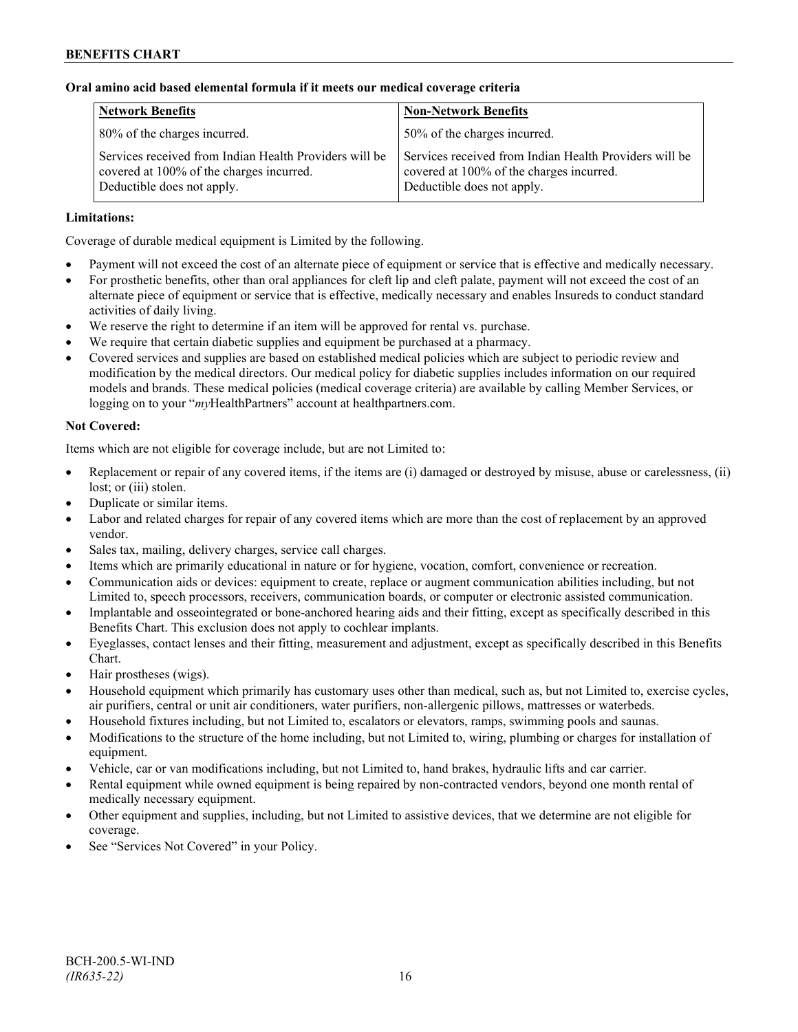# **Oral amino acid based elemental formula if it meets our medical coverage criteria**

| <b>Network Benefits</b>                                                                                                          | <b>Non-Network Benefits</b>                                                                                                      |  |
|----------------------------------------------------------------------------------------------------------------------------------|----------------------------------------------------------------------------------------------------------------------------------|--|
| 80% of the charges incurred.                                                                                                     | 50% of the charges incurred.                                                                                                     |  |
| Services received from Indian Health Providers will be<br>covered at 100% of the charges incurred.<br>Deductible does not apply. | Services received from Indian Health Providers will be<br>covered at 100% of the charges incurred.<br>Deductible does not apply. |  |

# **Limitations:**

Coverage of durable medical equipment is Limited by the following.

- Payment will not exceed the cost of an alternate piece of equipment or service that is effective and medically necessary.
- For prosthetic benefits, other than oral appliances for cleft lip and cleft palate, payment will not exceed the cost of an alternate piece of equipment or service that is effective, medically necessary and enables Insureds to conduct standard activities of daily living.
- We reserve the right to determine if an item will be approved for rental vs. purchase.
- We require that certain diabetic supplies and equipment be purchased at a pharmacy.
- Covered services and supplies are based on established medical policies which are subject to periodic review and modification by the medical directors. Our medical policy for diabetic supplies includes information on our required models and brands. These medical policies (medical coverage criteria) are available by calling Member Services, or logging on to your "*my*HealthPartners" account at [healthpartners.com.](http://www.healthpartners.com/)

# **Not Covered:**

Items which are not eligible for coverage include, but are not Limited to:

- Replacement or repair of any covered items, if the items are (i) damaged or destroyed by misuse, abuse or carelessness, (ii) lost; or (iii) stolen.
- Duplicate or similar items.
- Labor and related charges for repair of any covered items which are more than the cost of replacement by an approved vendor.
- Sales tax, mailing, delivery charges, service call charges.
- Items which are primarily educational in nature or for hygiene, vocation, comfort, convenience or recreation.
- Communication aids or devices: equipment to create, replace or augment communication abilities including, but not Limited to, speech processors, receivers, communication boards, or computer or electronic assisted communication.
- Implantable and osseointegrated or bone-anchored hearing aids and their fitting, except as specifically described in this Benefits Chart. This exclusion does not apply to cochlear implants.
- Eyeglasses, contact lenses and their fitting, measurement and adjustment, except as specifically described in this Benefits Chart.
- Hair prostheses (wigs).
- Household equipment which primarily has customary uses other than medical, such as, but not Limited to, exercise cycles, air purifiers, central or unit air conditioners, water purifiers, non-allergenic pillows, mattresses or waterbeds.
- Household fixtures including, but not Limited to, escalators or elevators, ramps, swimming pools and saunas.
- Modifications to the structure of the home including, but not Limited to, wiring, plumbing or charges for installation of equipment.
- Vehicle, car or van modifications including, but not Limited to, hand brakes, hydraulic lifts and car carrier.
- Rental equipment while owned equipment is being repaired by non-contracted vendors, beyond one month rental of medically necessary equipment.
- Other equipment and supplies, including, but not Limited to assistive devices, that we determine are not eligible for coverage.
- See "Services Not Covered" in your Policy.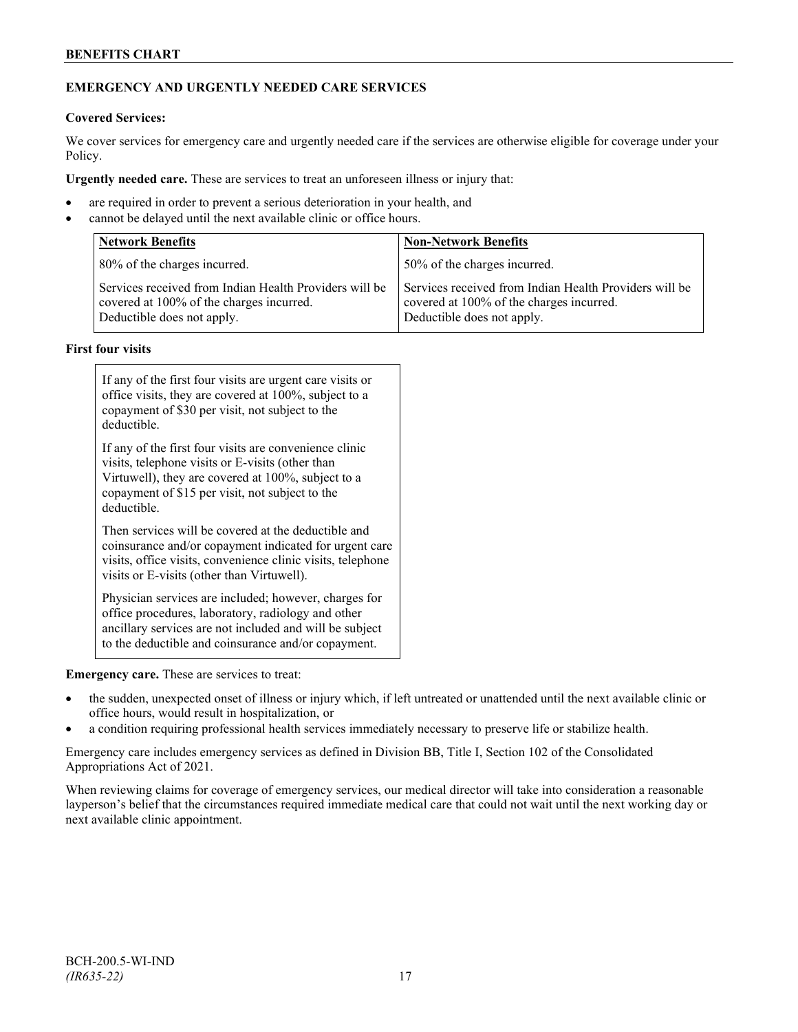# **BENEFITS CHART**

# **EMERGENCY AND URGENTLY NEEDED CARE SERVICES**

## **Covered Services:**

We cover services for emergency care and urgently needed care if the services are otherwise eligible for coverage under your Policy.

**Urgently needed care.** These are services to treat an unforeseen illness or injury that:

- are required in order to prevent a serious deterioration in your health, and
- cannot be delayed until the next available clinic or office hours.

| <b>Network Benefits</b>                                                                                                          | <b>Non-Network Benefits</b>                                                                                                      |  |
|----------------------------------------------------------------------------------------------------------------------------------|----------------------------------------------------------------------------------------------------------------------------------|--|
| 80% of the charges incurred.                                                                                                     | 50% of the charges incurred.                                                                                                     |  |
| Services received from Indian Health Providers will be<br>covered at 100% of the charges incurred.<br>Deductible does not apply. | Services received from Indian Health Providers will be<br>covered at 100% of the charges incurred.<br>Deductible does not apply. |  |

#### **First four visits**

| If any of the first four visits are urgent care visits or<br>office visits, they are covered at 100%, subject to a<br>copayment of \$30 per visit, not subject to the<br>deductible.                                               |  |
|------------------------------------------------------------------------------------------------------------------------------------------------------------------------------------------------------------------------------------|--|
| If any of the first four visits are convenience clinic<br>visits, telephone visits or E-visits (other than<br>Virtuwell), they are covered at 100%, subject to a<br>copayment of \$15 per visit, not subject to the<br>deductible. |  |
| Then services will be covered at the deductible and<br>coinsurance and/or copayment indicated for urgent care<br>visits, office visits, convenience clinic visits, telephone<br>visits or E-visits (other than Virtuwell).         |  |
| Physician services are included; however, charges for<br>office procedures, laboratory, radiology and other<br>ancillary services are not included and will be subject<br>to the deductible and coinsurance and/or copayment.      |  |

**Emergency care.** These are services to treat:

- the sudden, unexpected onset of illness or injury which, if left untreated or unattended until the next available clinic or office hours, would result in hospitalization, or
- a condition requiring professional health services immediately necessary to preserve life or stabilize health.

Emergency care includes emergency services as defined in Division BB, Title I, Section 102 of the Consolidated Appropriations Act of 2021.

When reviewing claims for coverage of emergency services, our medical director will take into consideration a reasonable layperson's belief that the circumstances required immediate medical care that could not wait until the next working day or next available clinic appointment.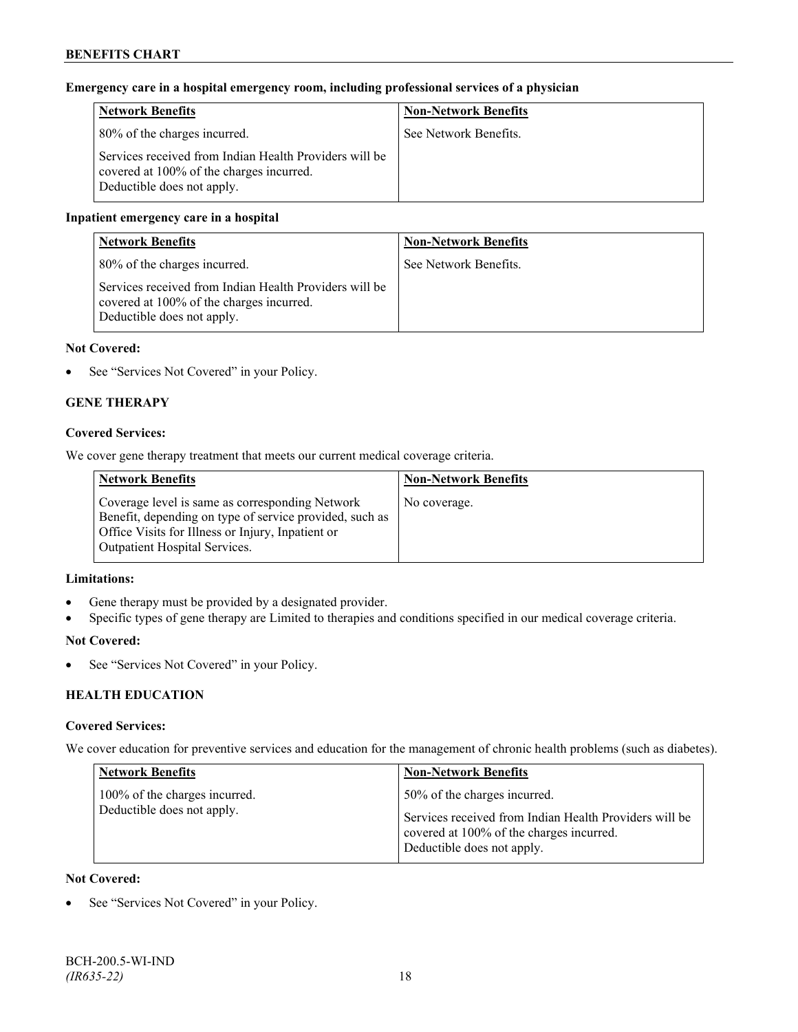# **Emergency care in a hospital emergency room, including professional services of a physician**

| <b>Network Benefits</b>                                                                                                          | <b>Non-Network Benefits</b> |
|----------------------------------------------------------------------------------------------------------------------------------|-----------------------------|
| 80% of the charges incurred.                                                                                                     | See Network Benefits.       |
| Services received from Indian Health Providers will be<br>covered at 100% of the charges incurred.<br>Deductible does not apply. |                             |

# **Inpatient emergency care in a hospital**

| <b>Network Benefits</b>                                                                                                          | <b>Non-Network Benefits</b> |
|----------------------------------------------------------------------------------------------------------------------------------|-----------------------------|
| 80% of the charges incurred.                                                                                                     | See Network Benefits.       |
| Services received from Indian Health Providers will be<br>covered at 100% of the charges incurred.<br>Deductible does not apply. |                             |

## **Not Covered:**

• See "Services Not Covered" in your Policy.

# **GENE THERAPY**

## **Covered Services:**

We cover gene therapy treatment that meets our current medical coverage criteria.

| <b>Network Benefits</b>                                                                                                                                                                          | <b>Non-Network Benefits</b> |
|--------------------------------------------------------------------------------------------------------------------------------------------------------------------------------------------------|-----------------------------|
| Coverage level is same as corresponding Network<br>Benefit, depending on type of service provided, such as<br>Office Visits for Illness or Injury, Inpatient or<br>Outpatient Hospital Services. | No coverage.                |

## **Limitations:**

- Gene therapy must be provided by a designated provider.
- Specific types of gene therapy are Limited to therapies and conditions specified in our medical coverage criteria.

## **Not Covered:**

• See "Services Not Covered" in your Policy.

# **HEALTH EDUCATION**

## **Covered Services:**

We cover education for preventive services and education for the management of chronic health problems (such as diabetes).

| <b>Network Benefits</b>                                     | <b>Non-Network Benefits</b>                                                                                                                                      |
|-------------------------------------------------------------|------------------------------------------------------------------------------------------------------------------------------------------------------------------|
| 100% of the charges incurred.<br>Deductible does not apply. | 50% of the charges incurred.<br>Services received from Indian Health Providers will be<br>covered at 100% of the charges incurred.<br>Deductible does not apply. |

## **Not Covered:**

See "Services Not Covered" in your Policy.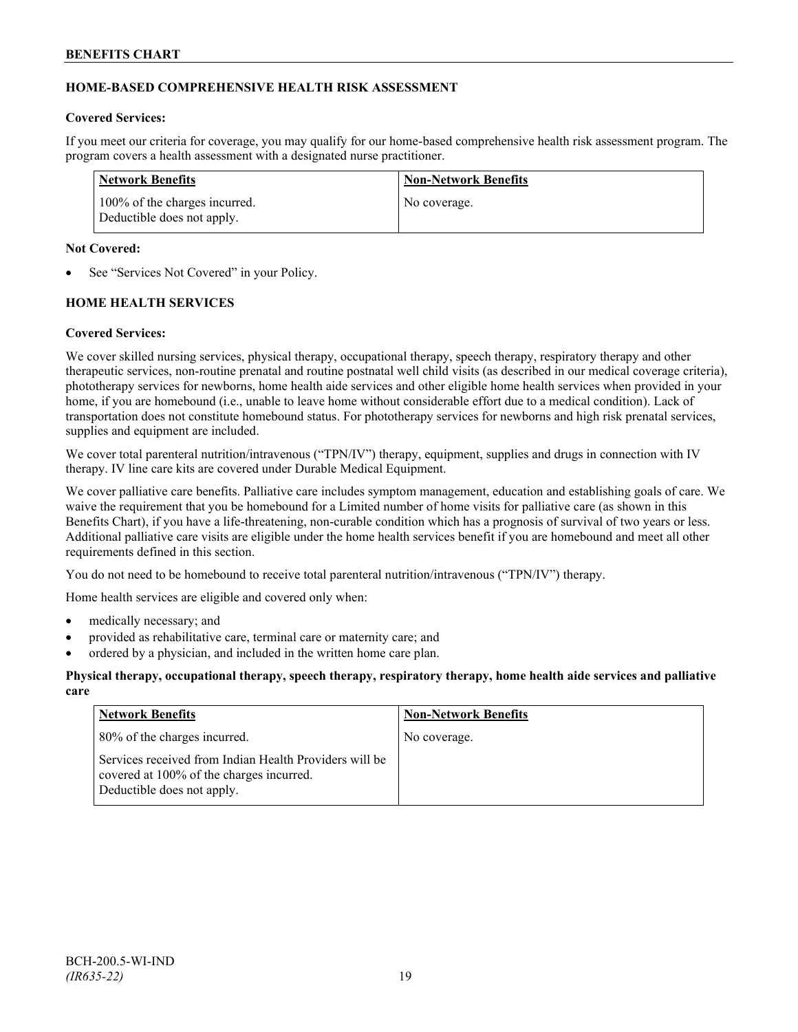# **HOME-BASED COMPREHENSIVE HEALTH RISK ASSESSMENT**

#### **Covered Services:**

If you meet our criteria for coverage, you may qualify for our home-based comprehensive health risk assessment program. The program covers a health assessment with a designated nurse practitioner.

| Network Benefits                                            | <b>Non-Network Benefits</b> |
|-------------------------------------------------------------|-----------------------------|
| 100% of the charges incurred.<br>Deductible does not apply. | No coverage.                |

#### **Not Covered:**

See "Services Not Covered" in your Policy.

## **HOME HEALTH SERVICES**

## **Covered Services:**

We cover skilled nursing services, physical therapy, occupational therapy, speech therapy, respiratory therapy and other therapeutic services, non-routine prenatal and routine postnatal well child visits (as described in our medical coverage criteria), phototherapy services for newborns, home health aide services and other eligible home health services when provided in your home, if you are homebound (i.e., unable to leave home without considerable effort due to a medical condition). Lack of transportation does not constitute homebound status. For phototherapy services for newborns and high risk prenatal services, supplies and equipment are included.

We cover total parenteral nutrition/intravenous ("TPN/IV") therapy, equipment, supplies and drugs in connection with IV therapy. IV line care kits are covered under Durable Medical Equipment.

We cover palliative care benefits. Palliative care includes symptom management, education and establishing goals of care. We waive the requirement that you be homebound for a Limited number of home visits for palliative care (as shown in this Benefits Chart), if you have a life-threatening, non-curable condition which has a prognosis of survival of two years or less. Additional palliative care visits are eligible under the home health services benefit if you are homebound and meet all other requirements defined in this section.

You do not need to be homebound to receive total parenteral nutrition/intravenous ("TPN/IV") therapy.

Home health services are eligible and covered only when:

- medically necessary; and
- provided as rehabilitative care, terminal care or maternity care; and
- ordered by a physician, and included in the written home care plan.

#### **Physical therapy, occupational therapy, speech therapy, respiratory therapy, home health aide services and palliative care**

| <b>Network Benefits</b>                                                                                                          | <b>Non-Network Benefits</b> |
|----------------------------------------------------------------------------------------------------------------------------------|-----------------------------|
| 80% of the charges incurred.                                                                                                     | No coverage.                |
| Services received from Indian Health Providers will be<br>covered at 100% of the charges incurred.<br>Deductible does not apply. |                             |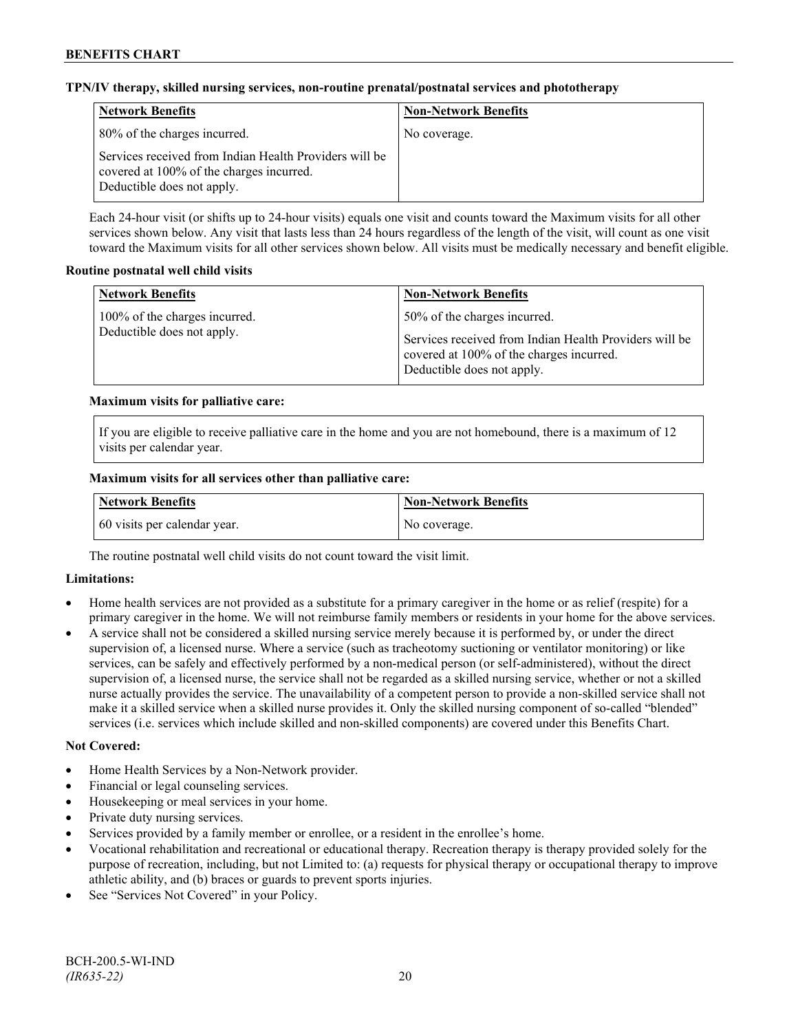## **TPN/IV therapy, skilled nursing services, non-routine prenatal/postnatal services and phototherapy**

| <b>Network Benefits</b>                                                                                                          | <b>Non-Network Benefits</b> |
|----------------------------------------------------------------------------------------------------------------------------------|-----------------------------|
| 80% of the charges incurred.                                                                                                     | No coverage.                |
| Services received from Indian Health Providers will be<br>covered at 100% of the charges incurred.<br>Deductible does not apply. |                             |

Each 24-hour visit (or shifts up to 24-hour visits) equals one visit and counts toward the Maximum visits for all other services shown below. Any visit that lasts less than 24 hours regardless of the length of the visit, will count as one visit toward the Maximum visits for all other services shown below. All visits must be medically necessary and benefit eligible.

## **Routine postnatal well child visits**

| <b>Network Benefits</b>                                     | <b>Non-Network Benefits</b>                                                                                                                                      |
|-------------------------------------------------------------|------------------------------------------------------------------------------------------------------------------------------------------------------------------|
| 100% of the charges incurred.<br>Deductible does not apply. | 50% of the charges incurred.<br>Services received from Indian Health Providers will be<br>covered at 100% of the charges incurred.<br>Deductible does not apply. |

# **Maximum visits for palliative care:**

If you are eligible to receive palliative care in the home and you are not homebound, there is a maximum of 12 visits per calendar year.

# **Maximum visits for all services other than palliative care:**

| Network Benefits             | Non-Network Benefits |
|------------------------------|----------------------|
| 60 visits per calendar year. | No coverage.         |

The routine postnatal well child visits do not count toward the visit limit.

## **Limitations:**

- Home health services are not provided as a substitute for a primary caregiver in the home or as relief (respite) for a primary caregiver in the home. We will not reimburse family members or residents in your home for the above services.
- A service shall not be considered a skilled nursing service merely because it is performed by, or under the direct supervision of, a licensed nurse. Where a service (such as tracheotomy suctioning or ventilator monitoring) or like services, can be safely and effectively performed by a non-medical person (or self-administered), without the direct supervision of, a licensed nurse, the service shall not be regarded as a skilled nursing service, whether or not a skilled nurse actually provides the service. The unavailability of a competent person to provide a non-skilled service shall not make it a skilled service when a skilled nurse provides it. Only the skilled nursing component of so-called "blended" services (i.e. services which include skilled and non-skilled components) are covered under this Benefits Chart.

## **Not Covered:**

- Home Health Services by a Non-Network provider.
- Financial or legal counseling services.
- Housekeeping or meal services in your home.
- Private duty nursing services.
- Services provided by a family member or enrollee, or a resident in the enrollee's home.
- Vocational rehabilitation and recreational or educational therapy. Recreation therapy is therapy provided solely for the purpose of recreation, including, but not Limited to: (a) requests for physical therapy or occupational therapy to improve athletic ability, and (b) braces or guards to prevent sports injuries.
- See "Services Not Covered" in your Policy.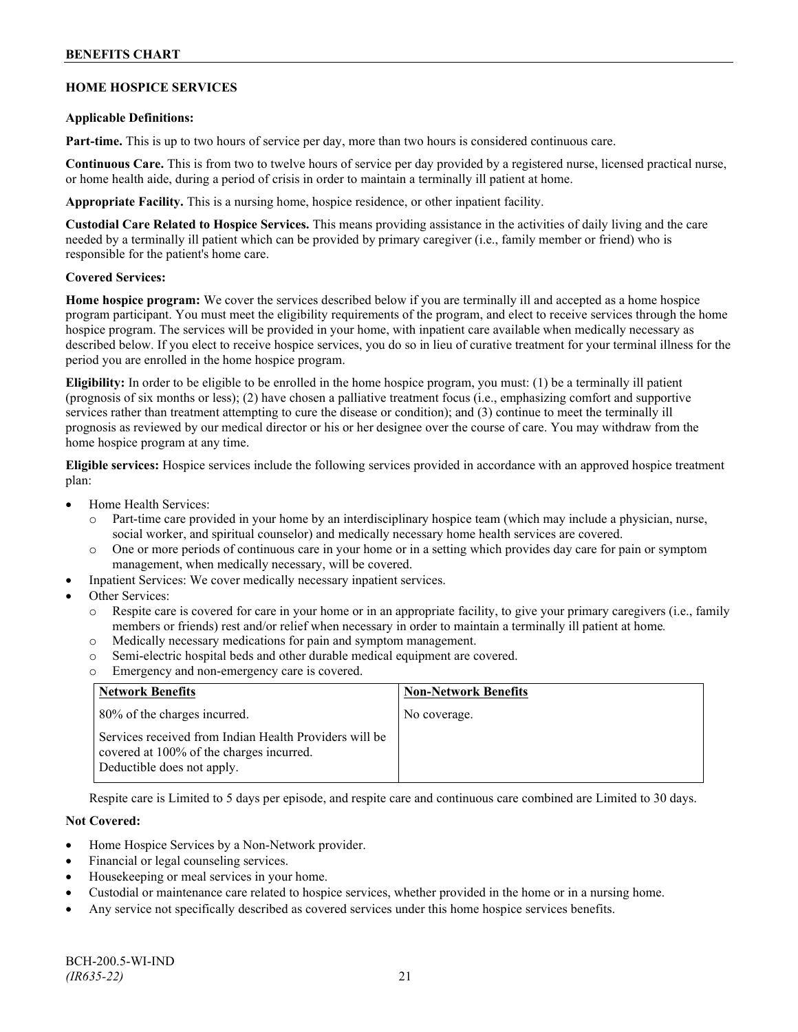# **BENEFITS CHART**

## **HOME HOSPICE SERVICES**

#### **Applicable Definitions:**

**Part-time.** This is up to two hours of service per day, more than two hours is considered continuous care.

**Continuous Care.** This is from two to twelve hours of service per day provided by a registered nurse, licensed practical nurse, or home health aide, during a period of crisis in order to maintain a terminally ill patient at home.

**Appropriate Facility.** This is a nursing home, hospice residence, or other inpatient facility.

**Custodial Care Related to Hospice Services.** This means providing assistance in the activities of daily living and the care needed by a terminally ill patient which can be provided by primary caregiver (i.e., family member or friend) who is responsible for the patient's home care.

#### **Covered Services:**

**Home hospice program:** We cover the services described below if you are terminally ill and accepted as a home hospice program participant. You must meet the eligibility requirements of the program, and elect to receive services through the home hospice program. The services will be provided in your home, with inpatient care available when medically necessary as described below. If you elect to receive hospice services, you do so in lieu of curative treatment for your terminal illness for the period you are enrolled in the home hospice program.

**Eligibility:** In order to be eligible to be enrolled in the home hospice program, you must: (1) be a terminally ill patient (prognosis of six months or less); (2) have chosen a palliative treatment focus (i.e., emphasizing comfort and supportive services rather than treatment attempting to cure the disease or condition); and (3) continue to meet the terminally ill prognosis as reviewed by our medical director or his or her designee over the course of care. You may withdraw from the home hospice program at any time.

**Eligible services:** Hospice services include the following services provided in accordance with an approved hospice treatment plan:

- Home Health Services:
	- o Part-time care provided in your home by an interdisciplinary hospice team (which may include a physician, nurse, social worker, and spiritual counselor) and medically necessary home health services are covered.
	- o One or more periods of continuous care in your home or in a setting which provides day care for pain or symptom management, when medically necessary, will be covered.
- Inpatient Services: We cover medically necessary inpatient services.
- Other Services:
	- Respite care is covered for care in your home or in an appropriate facility, to give your primary caregivers (i.e., family members or friends) rest and/or relief when necessary in order to maintain a terminally ill patient at home*.*
	- o Medically necessary medications for pain and symptom management.
	- o Semi-electric hospital beds and other durable medical equipment are covered.
	- o Emergency and non-emergency care is covered.

| <b>Network Benefits</b>                                                                                                          | <b>Non-Network Benefits</b> |
|----------------------------------------------------------------------------------------------------------------------------------|-----------------------------|
| 80% of the charges incurred.                                                                                                     | No coverage.                |
| Services received from Indian Health Providers will be<br>covered at 100% of the charges incurred.<br>Deductible does not apply. |                             |

Respite care is Limited to 5 days per episode, and respite care and continuous care combined are Limited to 30 days.

## **Not Covered:**

- Home Hospice Services by a Non-Network provider.
- Financial or legal counseling services.
- Housekeeping or meal services in your home.
- Custodial or maintenance care related to hospice services, whether provided in the home or in a nursing home.
- Any service not specifically described as covered services under this home hospice services benefits.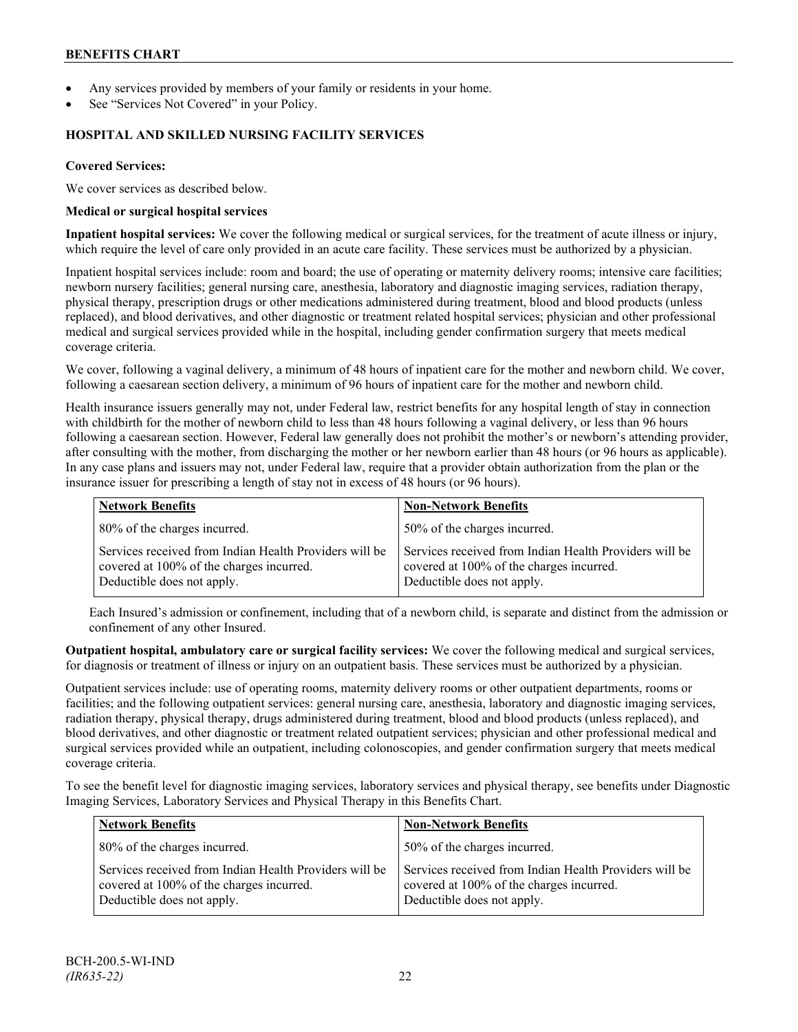- Any services provided by members of your family or residents in your home.
- See "Services Not Covered" in your Policy.

#### **HOSPITAL AND SKILLED NURSING FACILITY SERVICES**

#### **Covered Services:**

We cover services as described below.

#### **Medical or surgical hospital services**

**Inpatient hospital services:** We cover the following medical or surgical services, for the treatment of acute illness or injury, which require the level of care only provided in an acute care facility. These services must be authorized by a physician.

Inpatient hospital services include: room and board; the use of operating or maternity delivery rooms; intensive care facilities; newborn nursery facilities; general nursing care, anesthesia, laboratory and diagnostic imaging services, radiation therapy, physical therapy, prescription drugs or other medications administered during treatment, blood and blood products (unless replaced), and blood derivatives, and other diagnostic or treatment related hospital services; physician and other professional medical and surgical services provided while in the hospital, including gender confirmation surgery that meets medical coverage criteria.

We cover, following a vaginal delivery, a minimum of 48 hours of inpatient care for the mother and newborn child. We cover, following a caesarean section delivery, a minimum of 96 hours of inpatient care for the mother and newborn child.

Health insurance issuers generally may not, under Federal law, restrict benefits for any hospital length of stay in connection with childbirth for the mother of newborn child to less than 48 hours following a vaginal delivery, or less than 96 hours following a caesarean section. However, Federal law generally does not prohibit the mother's or newborn's attending provider, after consulting with the mother, from discharging the mother or her newborn earlier than 48 hours (or 96 hours as applicable). In any case plans and issuers may not, under Federal law, require that a provider obtain authorization from the plan or the insurance issuer for prescribing a length of stay not in excess of 48 hours (or 96 hours).

| <b>Network Benefits</b>                                                                                                          | <b>Non-Network Benefits</b>                                                                                                      |
|----------------------------------------------------------------------------------------------------------------------------------|----------------------------------------------------------------------------------------------------------------------------------|
| 80% of the charges incurred.                                                                                                     | 50% of the charges incurred.                                                                                                     |
| Services received from Indian Health Providers will be<br>covered at 100% of the charges incurred.<br>Deductible does not apply. | Services received from Indian Health Providers will be<br>covered at 100% of the charges incurred.<br>Deductible does not apply. |

Each Insured's admission or confinement, including that of a newborn child, is separate and distinct from the admission or confinement of any other Insured.

**Outpatient hospital, ambulatory care or surgical facility services:** We cover the following medical and surgical services, for diagnosis or treatment of illness or injury on an outpatient basis. These services must be authorized by a physician.

Outpatient services include: use of operating rooms, maternity delivery rooms or other outpatient departments, rooms or facilities; and the following outpatient services: general nursing care, anesthesia, laboratory and diagnostic imaging services, radiation therapy, physical therapy, drugs administered during treatment, blood and blood products (unless replaced), and blood derivatives, and other diagnostic or treatment related outpatient services; physician and other professional medical and surgical services provided while an outpatient, including colonoscopies, and gender confirmation surgery that meets medical coverage criteria.

To see the benefit level for diagnostic imaging services, laboratory services and physical therapy, see benefits under Diagnostic Imaging Services, Laboratory Services and Physical Therapy in this Benefits Chart.

| <b>Network Benefits</b>                                                                                                          | <b>Non-Network Benefits</b>                                                                                                      |
|----------------------------------------------------------------------------------------------------------------------------------|----------------------------------------------------------------------------------------------------------------------------------|
| 80% of the charges incurred.                                                                                                     | 50% of the charges incurred.                                                                                                     |
| Services received from Indian Health Providers will be<br>covered at 100% of the charges incurred.<br>Deductible does not apply. | Services received from Indian Health Providers will be<br>covered at 100% of the charges incurred.<br>Deductible does not apply. |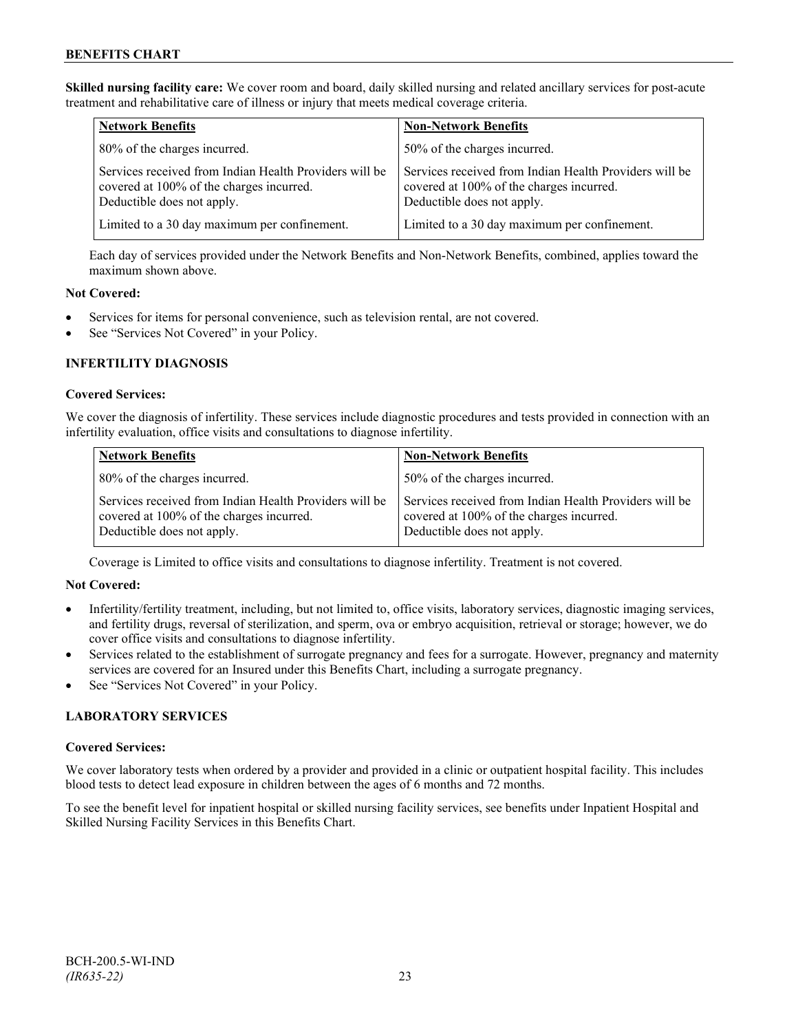**Skilled nursing facility care:** We cover room and board, daily skilled nursing and related ancillary services for post-acute treatment and rehabilitative care of illness or injury that meets medical coverage criteria.

| <b>Network Benefits</b>                                                                                                          | <b>Non-Network Benefits</b>                                                                                                      |
|----------------------------------------------------------------------------------------------------------------------------------|----------------------------------------------------------------------------------------------------------------------------------|
| 80% of the charges incurred.                                                                                                     | 50% of the charges incurred.                                                                                                     |
| Services received from Indian Health Providers will be<br>covered at 100% of the charges incurred.<br>Deductible does not apply. | Services received from Indian Health Providers will be<br>covered at 100% of the charges incurred.<br>Deductible does not apply. |
| Limited to a 30 day maximum per confinement.                                                                                     | Limited to a 30 day maximum per confinement.                                                                                     |

Each day of services provided under the Network Benefits and Non-Network Benefits, combined, applies toward the maximum shown above.

## **Not Covered:**

- Services for items for personal convenience, such as television rental, are not covered.
- See "Services Not Covered" in your Policy.

# **INFERTILITY DIAGNOSIS**

# **Covered Services:**

We cover the diagnosis of infertility. These services include diagnostic procedures and tests provided in connection with an infertility evaluation, office visits and consultations to diagnose infertility.

| <b>Network Benefits</b>                                                                                                          | <b>Non-Network Benefits</b>                                                                                                      |
|----------------------------------------------------------------------------------------------------------------------------------|----------------------------------------------------------------------------------------------------------------------------------|
| 80% of the charges incurred.                                                                                                     | 50% of the charges incurred.                                                                                                     |
| Services received from Indian Health Providers will be<br>covered at 100% of the charges incurred.<br>Deductible does not apply. | Services received from Indian Health Providers will be<br>covered at 100% of the charges incurred.<br>Deductible does not apply. |

Coverage is Limited to office visits and consultations to diagnose infertility. Treatment is not covered.

## **Not Covered:**

- Infertility/fertility treatment, including, but not limited to, office visits, laboratory services, diagnostic imaging services, and fertility drugs, reversal of sterilization, and sperm, ova or embryo acquisition, retrieval or storage; however, we do cover office visits and consultations to diagnose infertility.
- Services related to the establishment of surrogate pregnancy and fees for a surrogate. However, pregnancy and maternity services are covered for an Insured under this Benefits Chart, including a surrogate pregnancy.
- See "Services Not Covered" in your Policy.

## **LABORATORY SERVICES**

## **Covered Services:**

We cover laboratory tests when ordered by a provider and provided in a clinic or outpatient hospital facility. This includes blood tests to detect lead exposure in children between the ages of 6 months and 72 months.

To see the benefit level for inpatient hospital or skilled nursing facility services, see benefits under Inpatient Hospital and Skilled Nursing Facility Services in this Benefits Chart.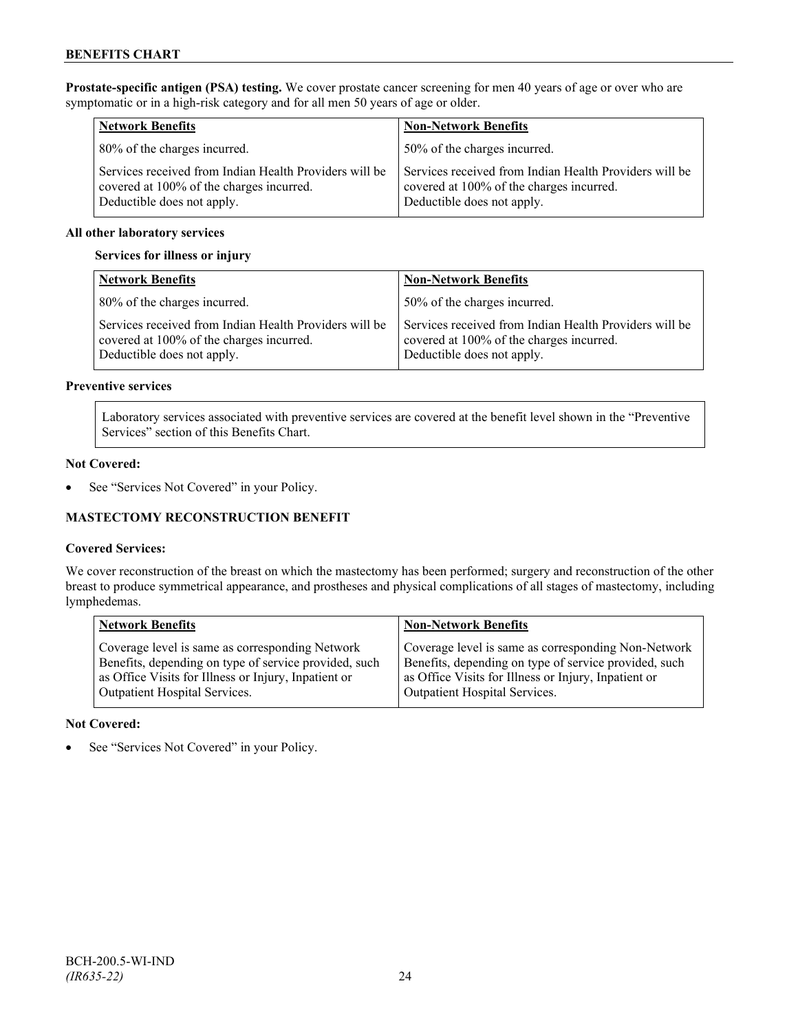**Prostate-specific antigen (PSA) testing.** We cover prostate cancer screening for men 40 years of age or over who are symptomatic or in a high-risk category and for all men 50 years of age or older.

| <b>Network Benefits</b>                                                                                                          | <b>Non-Network Benefits</b>                                                                                                      |
|----------------------------------------------------------------------------------------------------------------------------------|----------------------------------------------------------------------------------------------------------------------------------|
| 80% of the charges incurred.                                                                                                     | 50% of the charges incurred.                                                                                                     |
| Services received from Indian Health Providers will be<br>covered at 100% of the charges incurred.<br>Deductible does not apply. | Services received from Indian Health Providers will be<br>covered at 100% of the charges incurred.<br>Deductible does not apply. |

## **All other laboratory services**

#### **Services for illness or injury**

| <b>Network Benefits</b>                                                                                                          | <b>Non-Network Benefits</b>                                                                                                      |
|----------------------------------------------------------------------------------------------------------------------------------|----------------------------------------------------------------------------------------------------------------------------------|
| 80% of the charges incurred.                                                                                                     | 50% of the charges incurred.                                                                                                     |
| Services received from Indian Health Providers will be<br>covered at 100% of the charges incurred.<br>Deductible does not apply. | Services received from Indian Health Providers will be<br>covered at 100% of the charges incurred.<br>Deductible does not apply. |

#### **Preventive services**

Laboratory services associated with preventive services are covered at the benefit level shown in the "Preventive Services" section of this Benefits Chart.

#### **Not Covered:**

• See "Services Not Covered" in your Policy.

# **MASTECTOMY RECONSTRUCTION BENEFIT**

## **Covered Services:**

We cover reconstruction of the breast on which the mastectomy has been performed; surgery and reconstruction of the other breast to produce symmetrical appearance, and prostheses and physical complications of all stages of mastectomy, including lymphedemas.

| <b>Network Benefits</b>                               | <b>Non-Network Benefits</b>                           |
|-------------------------------------------------------|-------------------------------------------------------|
| Coverage level is same as corresponding Network       | Coverage level is same as corresponding Non-Network   |
| Benefits, depending on type of service provided, such | Benefits, depending on type of service provided, such |
| as Office Visits for Illness or Injury, Inpatient or  | as Office Visits for Illness or Injury, Inpatient or  |
| Outpatient Hospital Services.                         | Outpatient Hospital Services.                         |

#### **Not Covered:**

See "Services Not Covered" in your Policy.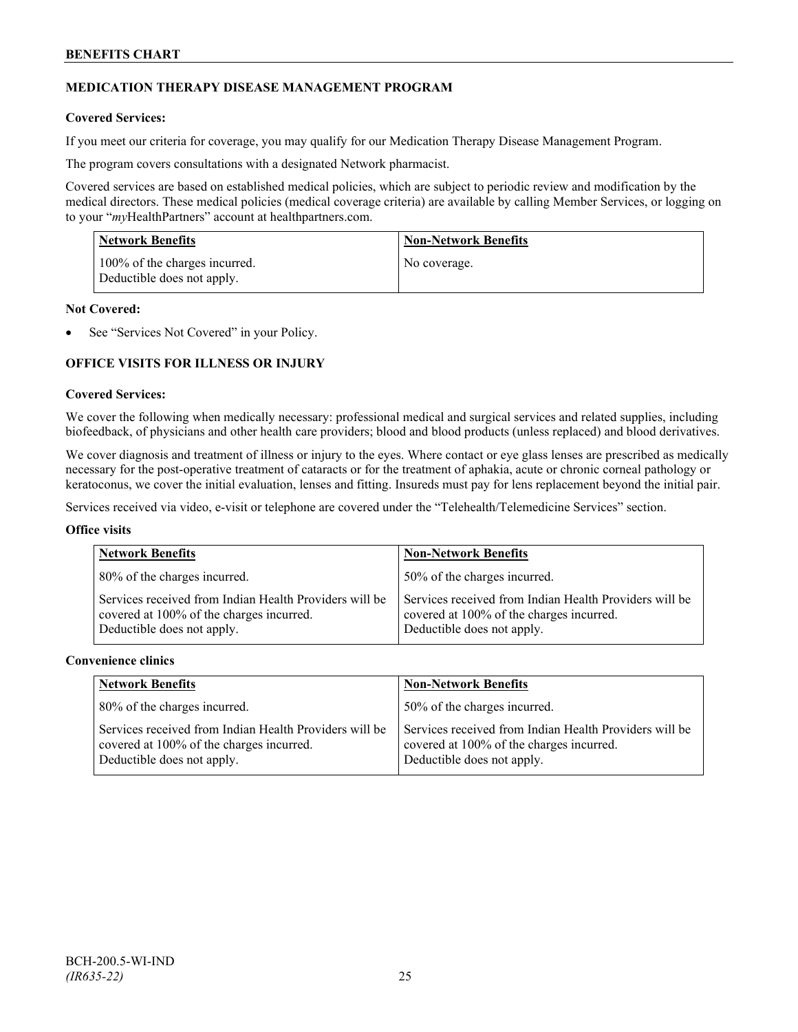# **MEDICATION THERAPY DISEASE MANAGEMENT PROGRAM**

## **Covered Services:**

If you meet our criteria for coverage, you may qualify for our Medication Therapy Disease Management Program.

The program covers consultations with a designated Network pharmacist.

Covered services are based on established medical policies, which are subject to periodic review and modification by the medical directors. These medical policies (medical coverage criteria) are available by calling Member Services, or logging on to your "*my*HealthPartners" account at [healthpartners.com.](http://www.healthpartners.com/)

| <b>Network Benefits</b>                                     | <b>Non-Network Benefits</b> |
|-------------------------------------------------------------|-----------------------------|
| 100% of the charges incurred.<br>Deductible does not apply. | No coverage.                |

#### **Not Covered:**

See "Services Not Covered" in your Policy.

# **OFFICE VISITS FOR ILLNESS OR INJURY**

# **Covered Services:**

We cover the following when medically necessary: professional medical and surgical services and related supplies, including biofeedback, of physicians and other health care providers; blood and blood products (unless replaced) and blood derivatives.

We cover diagnosis and treatment of illness or injury to the eyes. Where contact or eye glass lenses are prescribed as medically necessary for the post-operative treatment of cataracts or for the treatment of aphakia, acute or chronic corneal pathology or keratoconus, we cover the initial evaluation, lenses and fitting. Insureds must pay for lens replacement beyond the initial pair.

Services received via video, e-visit or telephone are covered under the "Telehealth/Telemedicine Services" section.

#### **Office visits**

| <b>Network Benefits</b>                                                                                                          | <b>Non-Network Benefits</b>                                                                                                      |
|----------------------------------------------------------------------------------------------------------------------------------|----------------------------------------------------------------------------------------------------------------------------------|
| 80% of the charges incurred.                                                                                                     | 50% of the charges incurred.                                                                                                     |
| Services received from Indian Health Providers will be<br>covered at 100% of the charges incurred.<br>Deductible does not apply. | Services received from Indian Health Providers will be<br>covered at 100% of the charges incurred.<br>Deductible does not apply. |

#### **Convenience clinics**

| <b>Network Benefits</b>                                                                                                          | <b>Non-Network Benefits</b>                                                                                                      |
|----------------------------------------------------------------------------------------------------------------------------------|----------------------------------------------------------------------------------------------------------------------------------|
| 80% of the charges incurred.                                                                                                     | 50% of the charges incurred.                                                                                                     |
| Services received from Indian Health Providers will be<br>covered at 100% of the charges incurred.<br>Deductible does not apply. | Services received from Indian Health Providers will be<br>covered at 100% of the charges incurred.<br>Deductible does not apply. |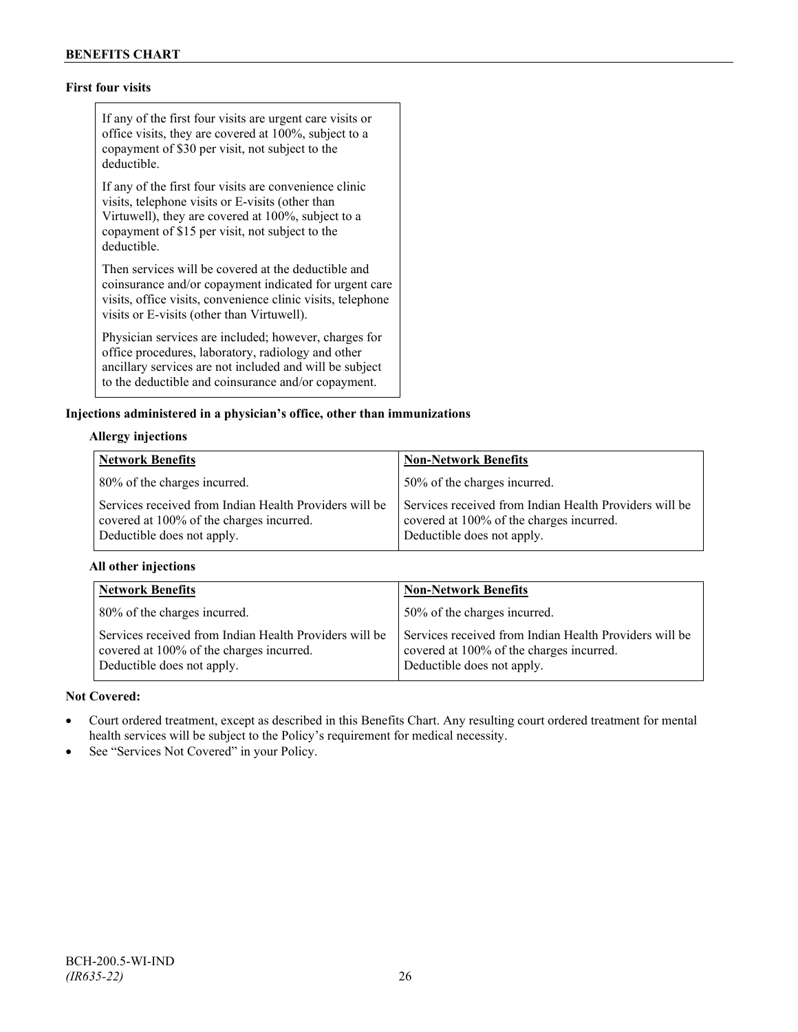# **First four visits**

If any of the first four visits are urgent care visits or office visits, they are covered at 100%, subject to a copayment of \$30 per visit, not subject to the deductible.

If any of the first four visits are convenience clinic visits, telephone visits or E-visits (other than Virtuwell), they are covered at 100%, subject to a copayment of \$15 per visit, not subject to the deductible.

Then services will be covered at the deductible and coinsurance and/or copayment indicated for urgent care visits, office visits, convenience clinic visits, telephone visits or E-visits (other than Virtuwell).

Physician services are included; however, charges for office procedures, laboratory, radiology and other ancillary services are not included and will be subject to the deductible and coinsurance and/or copayment.

## **Injections administered in a physician's office, other than immunizations**

## **Allergy injections**

| <b>Network Benefits</b>                                                                                                          | <b>Non-Network Benefits</b>                                                                                                      |
|----------------------------------------------------------------------------------------------------------------------------------|----------------------------------------------------------------------------------------------------------------------------------|
| 80% of the charges incurred.                                                                                                     | 50% of the charges incurred.                                                                                                     |
| Services received from Indian Health Providers will be<br>covered at 100% of the charges incurred.<br>Deductible does not apply. | Services received from Indian Health Providers will be<br>covered at 100% of the charges incurred.<br>Deductible does not apply. |

## **All other injections**

| <b>Network Benefits</b>                                                                                                          | <b>Non-Network Benefits</b>                                                                                                      |
|----------------------------------------------------------------------------------------------------------------------------------|----------------------------------------------------------------------------------------------------------------------------------|
| 80% of the charges incurred.                                                                                                     | 50% of the charges incurred.                                                                                                     |
| Services received from Indian Health Providers will be<br>covered at 100% of the charges incurred.<br>Deductible does not apply. | Services received from Indian Health Providers will be<br>covered at 100% of the charges incurred.<br>Deductible does not apply. |

#### **Not Covered:**

- Court ordered treatment, except as described in this Benefits Chart. Any resulting court ordered treatment for mental health services will be subject to the Policy's requirement for medical necessity.
- See "Services Not Covered" in your Policy.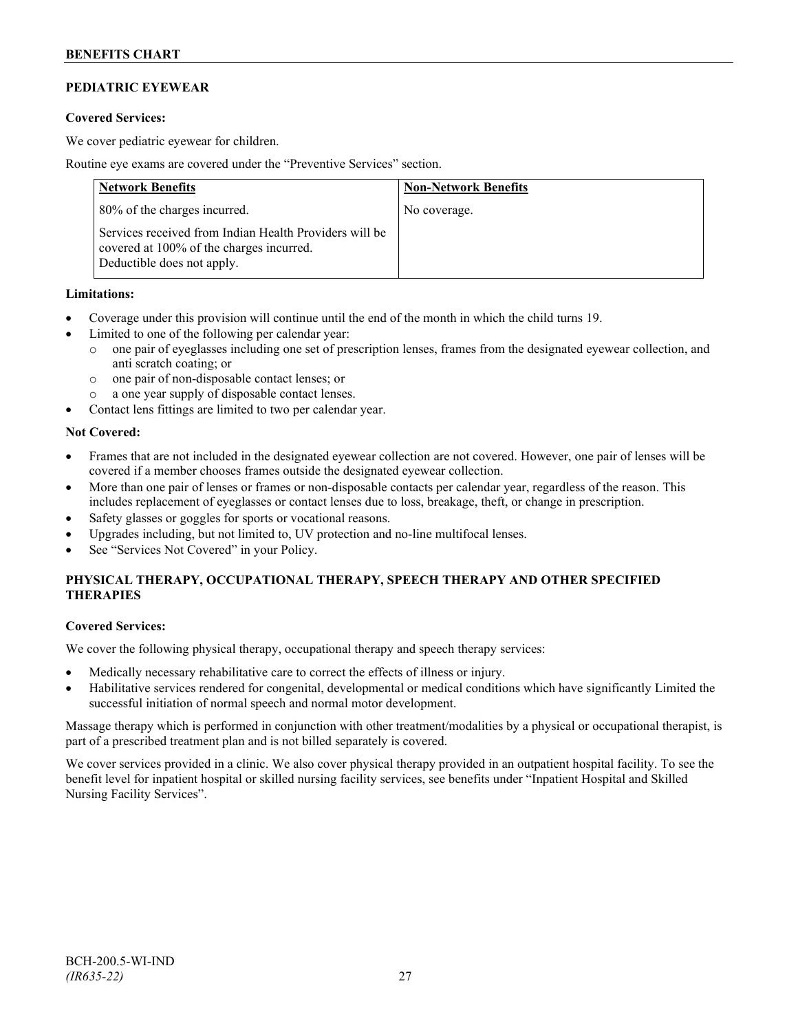# **PEDIATRIC EYEWEAR**

## **Covered Services:**

We cover pediatric eyewear for children.

Routine eye exams are covered under the "Preventive Services" section.

| <b>Network Benefits</b>                                                                                                          | <b>Non-Network Benefits</b> |
|----------------------------------------------------------------------------------------------------------------------------------|-----------------------------|
| 80% of the charges incurred.                                                                                                     | No coverage.                |
| Services received from Indian Health Providers will be<br>covered at 100% of the charges incurred.<br>Deductible does not apply. |                             |

## **Limitations:**

- Coverage under this provision will continue until the end of the month in which the child turns 19.
- Limited to one of the following per calendar year:
	- o one pair of eyeglasses including one set of prescription lenses, frames from the designated eyewear collection, and anti scratch coating; or
	- o one pair of non-disposable contact lenses; or
	- o a one year supply of disposable contact lenses.
- Contact lens fittings are limited to two per calendar year.

#### **Not Covered:**

- Frames that are not included in the designated eyewear collection are not covered. However, one pair of lenses will be covered if a member chooses frames outside the designated eyewear collection.
- More than one pair of lenses or frames or non-disposable contacts per calendar year, regardless of the reason. This includes replacement of eyeglasses or contact lenses due to loss, breakage, theft, or change in prescription.
- Safety glasses or goggles for sports or vocational reasons.
- Upgrades including, but not limited to, UV protection and no-line multifocal lenses.
- See "Services Not Covered" in your Policy.

# **PHYSICAL THERAPY, OCCUPATIONAL THERAPY, SPEECH THERAPY AND OTHER SPECIFIED THERAPIES**

## **Covered Services:**

We cover the following physical therapy, occupational therapy and speech therapy services:

- Medically necessary rehabilitative care to correct the effects of illness or injury.
- Habilitative services rendered for congenital, developmental or medical conditions which have significantly Limited the successful initiation of normal speech and normal motor development.

Massage therapy which is performed in conjunction with other treatment/modalities by a physical or occupational therapist, is part of a prescribed treatment plan and is not billed separately is covered.

We cover services provided in a clinic. We also cover physical therapy provided in an outpatient hospital facility. To see the benefit level for inpatient hospital or skilled nursing facility services, see benefits under "Inpatient Hospital and Skilled Nursing Facility Services".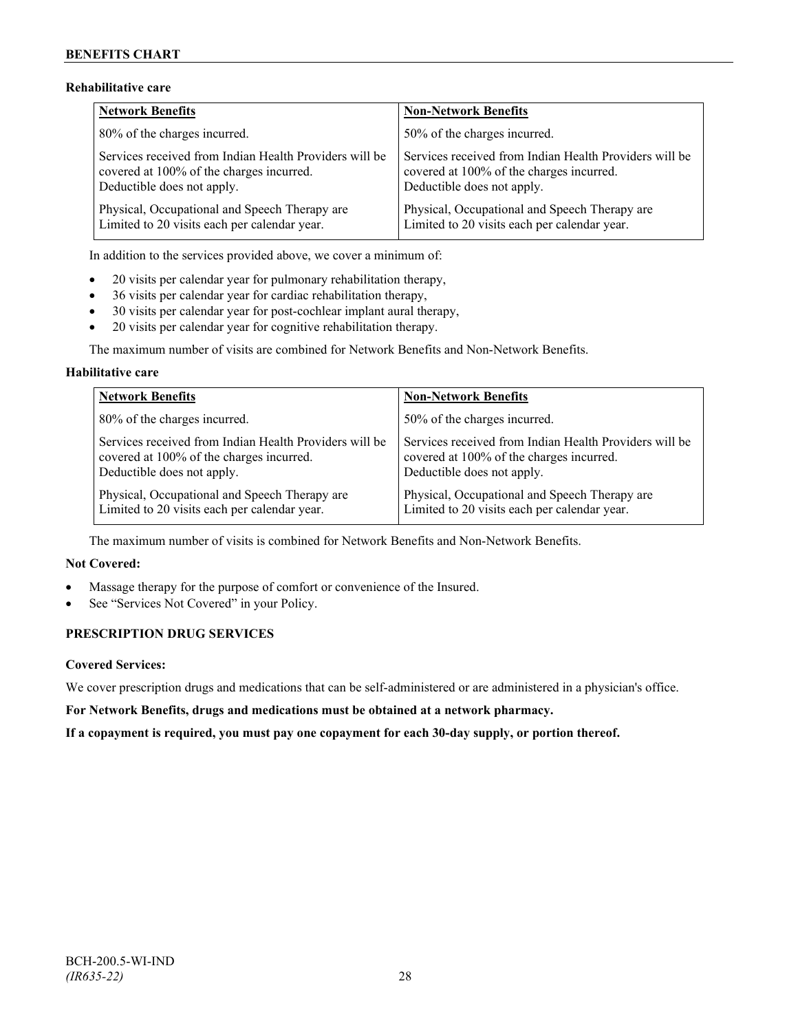# **Rehabilitative care**

| <b>Network Benefits</b>                                | <b>Non-Network Benefits</b>                            |
|--------------------------------------------------------|--------------------------------------------------------|
| 80% of the charges incurred.                           | 50% of the charges incurred.                           |
| Services received from Indian Health Providers will be | Services received from Indian Health Providers will be |
| covered at 100% of the charges incurred.               | covered at 100% of the charges incurred.               |
| Deductible does not apply.                             | Deductible does not apply.                             |
| Physical, Occupational and Speech Therapy are          | Physical, Occupational and Speech Therapy are          |
| Limited to 20 visits each per calendar year.           | Limited to 20 visits each per calendar year.           |

In addition to the services provided above, we cover a minimum of:

- 20 visits per calendar year for pulmonary rehabilitation therapy,
- 36 visits per calendar year for cardiac rehabilitation therapy,
- 30 visits per calendar year for post-cochlear implant aural therapy,
- 20 visits per calendar year for cognitive rehabilitation therapy.

The maximum number of visits are combined for Network Benefits and Non-Network Benefits.

# **Habilitative care**

| <b>Network Benefits</b>                                | <b>Non-Network Benefits</b>                            |
|--------------------------------------------------------|--------------------------------------------------------|
| 80% of the charges incurred.                           | 50% of the charges incurred.                           |
| Services received from Indian Health Providers will be | Services received from Indian Health Providers will be |
| covered at 100% of the charges incurred.               | covered at 100% of the charges incurred.               |
| Deductible does not apply.                             | Deductible does not apply.                             |
| Physical, Occupational and Speech Therapy are          | Physical, Occupational and Speech Therapy are          |
| Limited to 20 visits each per calendar year.           | Limited to 20 visits each per calendar year.           |

The maximum number of visits is combined for Network Benefits and Non-Network Benefits.

# **Not Covered:**

- Massage therapy for the purpose of comfort or convenience of the Insured.
- See "Services Not Covered" in your Policy.

# **PRESCRIPTION DRUG SERVICES**

## **Covered Services:**

We cover prescription drugs and medications that can be self-administered or are administered in a physician's office.

**For Network Benefits, drugs and medications must be obtained at a network pharmacy.**

**If a copayment is required, you must pay one copayment for each 30-day supply, or portion thereof.**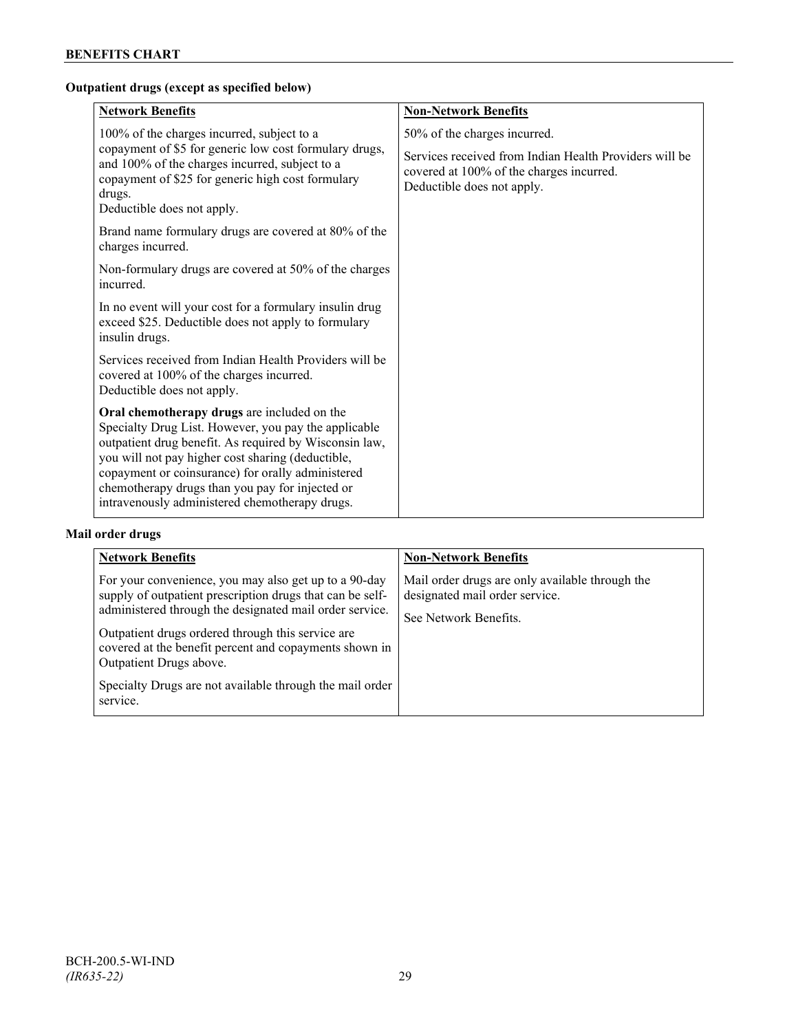# **Outpatient drugs (except as specified below)**

| <b>Network Benefits</b>                                                                                                                                                                                                                                                                                                                                                      | <b>Non-Network Benefits</b>                                                                                                                                      |
|------------------------------------------------------------------------------------------------------------------------------------------------------------------------------------------------------------------------------------------------------------------------------------------------------------------------------------------------------------------------------|------------------------------------------------------------------------------------------------------------------------------------------------------------------|
| 100% of the charges incurred, subject to a<br>copayment of \$5 for generic low cost formulary drugs,<br>and 100% of the charges incurred, subject to a<br>copayment of \$25 for generic high cost formulary<br>drugs.<br>Deductible does not apply.                                                                                                                          | 50% of the charges incurred.<br>Services received from Indian Health Providers will be<br>covered at 100% of the charges incurred.<br>Deductible does not apply. |
| Brand name formulary drugs are covered at 80% of the<br>charges incurred.                                                                                                                                                                                                                                                                                                    |                                                                                                                                                                  |
| Non-formulary drugs are covered at 50% of the charges<br>incurred.                                                                                                                                                                                                                                                                                                           |                                                                                                                                                                  |
| In no event will your cost for a formulary insulin drug<br>exceed \$25. Deductible does not apply to formulary<br>insulin drugs.                                                                                                                                                                                                                                             |                                                                                                                                                                  |
| Services received from Indian Health Providers will be<br>covered at 100% of the charges incurred.<br>Deductible does not apply.                                                                                                                                                                                                                                             |                                                                                                                                                                  |
| Oral chemotherapy drugs are included on the<br>Specialty Drug List. However, you pay the applicable<br>outpatient drug benefit. As required by Wisconsin law,<br>you will not pay higher cost sharing (deductible,<br>copayment or coinsurance) for orally administered<br>chemotherapy drugs than you pay for injected or<br>intravenously administered chemotherapy drugs. |                                                                                                                                                                  |

# **Mail order drugs**

| <b>Network Benefits</b>                                                                                                                                                                                                                                                                                                                                                                         | <b>Non-Network Benefits</b>                                                                                |
|-------------------------------------------------------------------------------------------------------------------------------------------------------------------------------------------------------------------------------------------------------------------------------------------------------------------------------------------------------------------------------------------------|------------------------------------------------------------------------------------------------------------|
| For your convenience, you may also get up to a 90-day<br>supply of outpatient prescription drugs that can be self-<br>administered through the designated mail order service.<br>Outpatient drugs ordered through this service are<br>covered at the benefit percent and copayments shown in<br>Outpatient Drugs above.<br>Specialty Drugs are not available through the mail order<br>service. | Mail order drugs are only available through the<br>designated mail order service.<br>See Network Benefits. |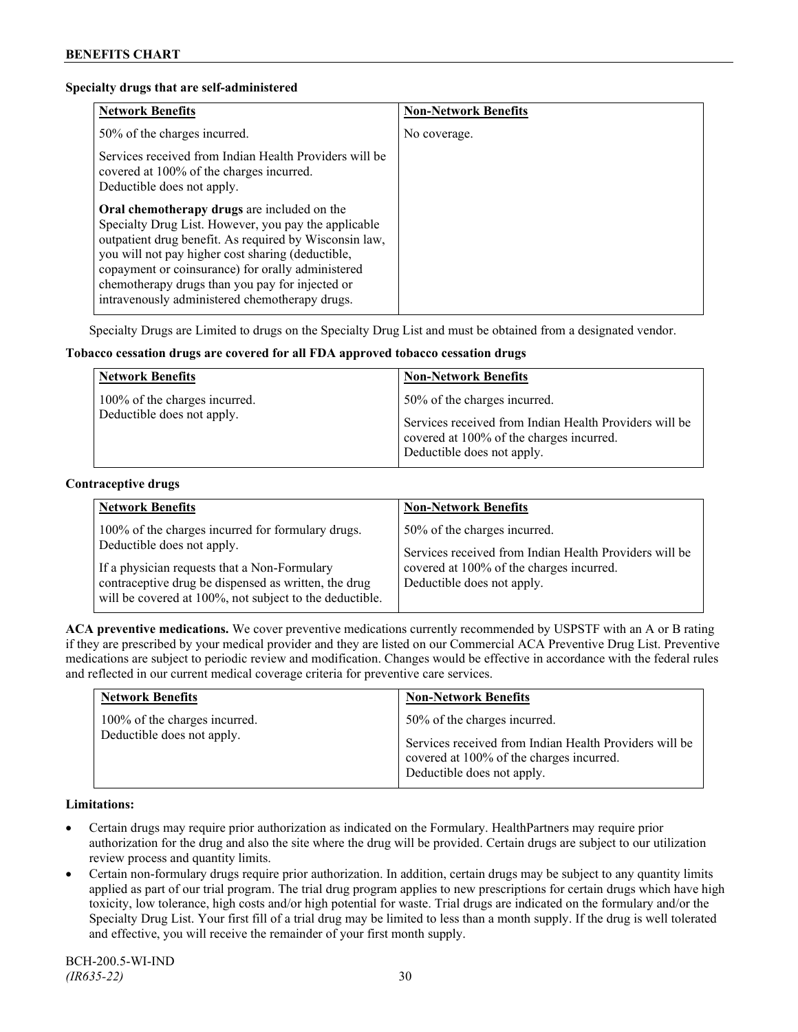#### **Specialty drugs that are self-administered**

| <b>Network Benefits</b>                                                                                                                                                                                                                                                                                                                                                      | <b>Non-Network Benefits</b> |
|------------------------------------------------------------------------------------------------------------------------------------------------------------------------------------------------------------------------------------------------------------------------------------------------------------------------------------------------------------------------------|-----------------------------|
| 50% of the charges incurred.                                                                                                                                                                                                                                                                                                                                                 | No coverage.                |
| Services received from Indian Health Providers will be<br>covered at 100% of the charges incurred.<br>Deductible does not apply.                                                                                                                                                                                                                                             |                             |
| Oral chemotherapy drugs are included on the<br>Specialty Drug List. However, you pay the applicable<br>outpatient drug benefit. As required by Wisconsin law,<br>you will not pay higher cost sharing (deductible,<br>copayment or coinsurance) for orally administered<br>chemotherapy drugs than you pay for injected or<br>intravenously administered chemotherapy drugs. |                             |

Specialty Drugs are Limited to drugs on the Specialty Drug List and must be obtained from a designated vendor.

## **Tobacco cessation drugs are covered for all FDA approved tobacco cessation drugs**

| <b>Network Benefits</b>                                     | <b>Non-Network Benefits</b>                                                                                                                                      |
|-------------------------------------------------------------|------------------------------------------------------------------------------------------------------------------------------------------------------------------|
| 100% of the charges incurred.<br>Deductible does not apply. | 50% of the charges incurred.<br>Services received from Indian Health Providers will be<br>covered at 100% of the charges incurred.<br>Deductible does not apply. |

#### **Contraceptive drugs**

| <b>Network Benefits</b>                                                                                                                                                                                                                            | <b>Non-Network Benefits</b>                                                                                                                                      |
|----------------------------------------------------------------------------------------------------------------------------------------------------------------------------------------------------------------------------------------------------|------------------------------------------------------------------------------------------------------------------------------------------------------------------|
| 100% of the charges incurred for formulary drugs.<br>Deductible does not apply.<br>If a physician requests that a Non-Formulary<br>contraceptive drug be dispensed as written, the drug<br>will be covered at 100%, not subject to the deductible. | 50% of the charges incurred.<br>Services received from Indian Health Providers will be<br>covered at 100% of the charges incurred.<br>Deductible does not apply. |

**ACA preventive medications.** We cover preventive medications currently recommended by USPSTF with an A or B rating if they are prescribed by your medical provider and they are listed on our Commercial ACA Preventive Drug List. Preventive medications are subject to periodic review and modification. Changes would be effective in accordance with the federal rules and reflected in our current medical coverage criteria for preventive care services.

| <b>Network Benefits</b>       | <b>Non-Network Benefits</b>                                                                                                      |
|-------------------------------|----------------------------------------------------------------------------------------------------------------------------------|
| 100% of the charges incurred. | 50% of the charges incurred.                                                                                                     |
| Deductible does not apply.    | Services received from Indian Health Providers will be<br>covered at 100% of the charges incurred.<br>Deductible does not apply. |

#### **Limitations:**

- Certain drugs may require prior authorization as indicated on the Formulary. HealthPartners may require prior authorization for the drug and also the site where the drug will be provided. Certain drugs are subject to our utilization review process and quantity limits.
- Certain non-formulary drugs require prior authorization. In addition, certain drugs may be subject to any quantity limits applied as part of our trial program. The trial drug program applies to new prescriptions for certain drugs which have high toxicity, low tolerance, high costs and/or high potential for waste. Trial drugs are indicated on the formulary and/or the Specialty Drug List. Your first fill of a trial drug may be limited to less than a month supply. If the drug is well tolerated and effective, you will receive the remainder of your first month supply.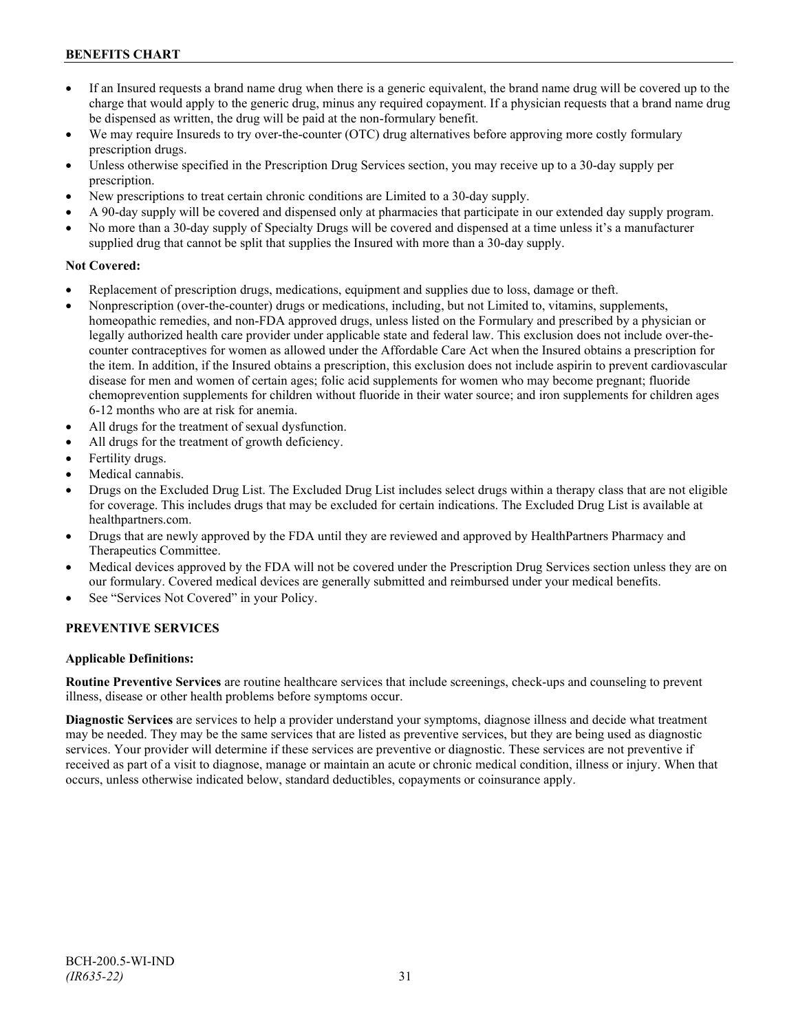# **BENEFITS CHART**

- If an Insured requests a brand name drug when there is a generic equivalent, the brand name drug will be covered up to the charge that would apply to the generic drug, minus any required copayment. If a physician requests that a brand name drug be dispensed as written, the drug will be paid at the non-formulary benefit.
- We may require Insureds to try over-the-counter (OTC) drug alternatives before approving more costly formulary prescription drugs.
- Unless otherwise specified in the Prescription Drug Services section, you may receive up to a 30-day supply per prescription.
- New prescriptions to treat certain chronic conditions are Limited to a 30-day supply.
- A 90-day supply will be covered and dispensed only at pharmacies that participate in our extended day supply program.
- No more than a 30-day supply of Specialty Drugs will be covered and dispensed at a time unless it's a manufacturer supplied drug that cannot be split that supplies the Insured with more than a 30-day supply.

# **Not Covered:**

- Replacement of prescription drugs, medications, equipment and supplies due to loss, damage or theft.
- Nonprescription (over-the-counter) drugs or medications, including, but not Limited to, vitamins, supplements, homeopathic remedies, and non-FDA approved drugs, unless listed on the Formulary and prescribed by a physician or legally authorized health care provider under applicable state and federal law. This exclusion does not include over-thecounter contraceptives for women as allowed under the Affordable Care Act when the Insured obtains a prescription for the item. In addition, if the Insured obtains a prescription, this exclusion does not include aspirin to prevent cardiovascular disease for men and women of certain ages; folic acid supplements for women who may become pregnant; fluoride chemoprevention supplements for children without fluoride in their water source; and iron supplements for children ages 6-12 months who are at risk for anemia.
- All drugs for the treatment of sexual dysfunction.
- All drugs for the treatment of growth deficiency.
- Fertility drugs.
- Medical cannabis.
- Drugs on the Excluded Drug List. The Excluded Drug List includes select drugs within a therapy class that are not eligible for coverage. This includes drugs that may be excluded for certain indications. The Excluded Drug List is available at [healthpartners.com.](http://www.healthpartners.com/)
- Drugs that are newly approved by the FDA until they are reviewed and approved by HealthPartners Pharmacy and Therapeutics Committee.
- Medical devices approved by the FDA will not be covered under the Prescription Drug Services section unless they are on our formulary. Covered medical devices are generally submitted and reimbursed under your medical benefits.
- See "Services Not Covered" in your Policy.

# **PREVENTIVE SERVICES**

## **Applicable Definitions:**

**Routine Preventive Services** are routine healthcare services that include screenings, check-ups and counseling to prevent illness, disease or other health problems before symptoms occur.

**Diagnostic Services** are services to help a provider understand your symptoms, diagnose illness and decide what treatment may be needed. They may be the same services that are listed as preventive services, but they are being used as diagnostic services. Your provider will determine if these services are preventive or diagnostic. These services are not preventive if received as part of a visit to diagnose, manage or maintain an acute or chronic medical condition, illness or injury. When that occurs, unless otherwise indicated below, standard deductibles, copayments or coinsurance apply.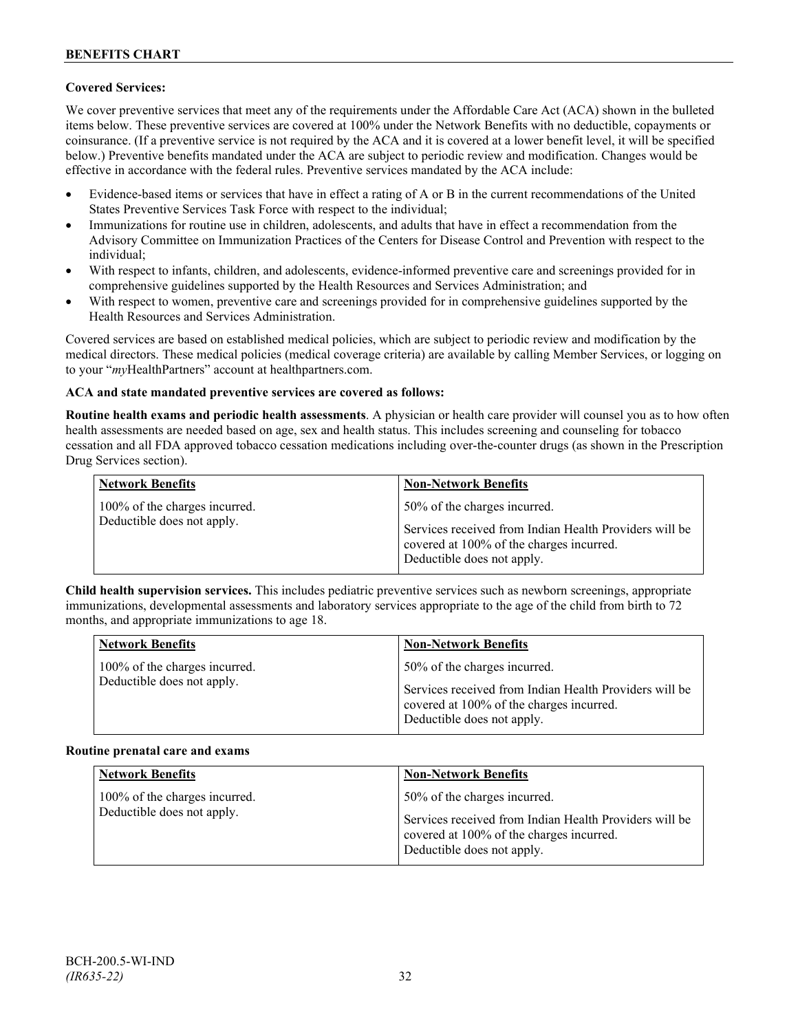# **Covered Services:**

We cover preventive services that meet any of the requirements under the Affordable Care Act (ACA) shown in the bulleted items below. These preventive services are covered at 100% under the Network Benefits with no deductible, copayments or coinsurance. (If a preventive service is not required by the ACA and it is covered at a lower benefit level, it will be specified below.) Preventive benefits mandated under the ACA are subject to periodic review and modification. Changes would be effective in accordance with the federal rules. Preventive services mandated by the ACA include:

- Evidence-based items or services that have in effect a rating of A or B in the current recommendations of the United States Preventive Services Task Force with respect to the individual;
- Immunizations for routine use in children, adolescents, and adults that have in effect a recommendation from the Advisory Committee on Immunization Practices of the Centers for Disease Control and Prevention with respect to the individual;
- With respect to infants, children, and adolescents, evidence-informed preventive care and screenings provided for in comprehensive guidelines supported by the Health Resources and Services Administration; and
- With respect to women, preventive care and screenings provided for in comprehensive guidelines supported by the Health Resources and Services Administration.

Covered services are based on established medical policies, which are subject to periodic review and modification by the medical directors. These medical policies (medical coverage criteria) are available by calling Member Services, or logging on to your "*my*HealthPartners" account at [healthpartners.com.](http://www.healthpartners.com/)

## **ACA and state mandated preventive services are covered as follows:**

**Routine health exams and periodic health assessments**. A physician or health care provider will counsel you as to how often health assessments are needed based on age, sex and health status. This includes screening and counseling for tobacco cessation and all FDA approved tobacco cessation medications including over-the-counter drugs (as shown in the Prescription Drug Services section).

| <b>Network Benefits</b>                                     | <b>Non-Network Benefits</b>                                                                                                                                      |
|-------------------------------------------------------------|------------------------------------------------------------------------------------------------------------------------------------------------------------------|
| 100% of the charges incurred.<br>Deductible does not apply. | 50% of the charges incurred.<br>Services received from Indian Health Providers will be<br>covered at 100% of the charges incurred.<br>Deductible does not apply. |

**Child health supervision services.** This includes pediatric preventive services such as newborn screenings, appropriate immunizations, developmental assessments and laboratory services appropriate to the age of the child from birth to 72 months, and appropriate immunizations to age 18.

| <b>Network Benefits</b>       | <b>Non-Network Benefits</b>                                                                                                      |
|-------------------------------|----------------------------------------------------------------------------------------------------------------------------------|
| 100% of the charges incurred. | 50% of the charges incurred.                                                                                                     |
| Deductible does not apply.    | Services received from Indian Health Providers will be<br>covered at 100% of the charges incurred.<br>Deductible does not apply. |

#### **Routine prenatal care and exams**

| <b>Network Benefits</b>                                     | <b>Non-Network Benefits</b>                                                                                                                                      |
|-------------------------------------------------------------|------------------------------------------------------------------------------------------------------------------------------------------------------------------|
| 100% of the charges incurred.<br>Deductible does not apply. | 50% of the charges incurred.<br>Services received from Indian Health Providers will be<br>covered at 100% of the charges incurred.<br>Deductible does not apply. |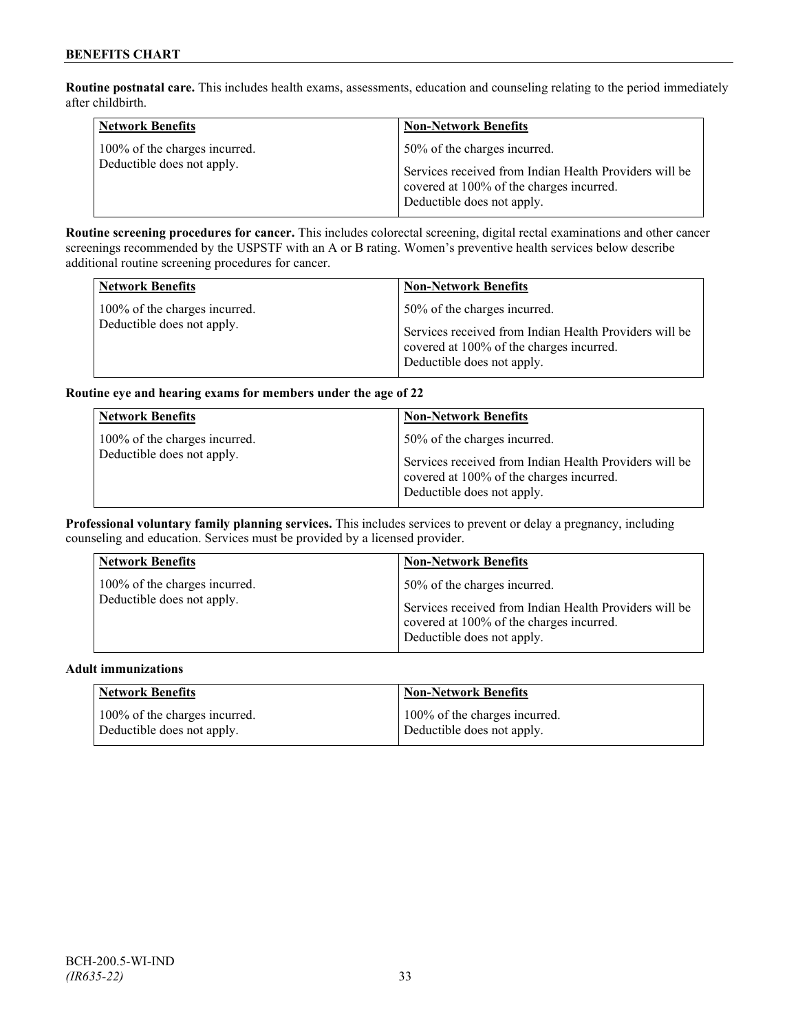**Routine postnatal care.** This includes health exams, assessments, education and counseling relating to the period immediately after childbirth.

| <b>Network Benefits</b>                                     | <b>Non-Network Benefits</b>                                                                                                                                      |
|-------------------------------------------------------------|------------------------------------------------------------------------------------------------------------------------------------------------------------------|
| 100% of the charges incurred.<br>Deductible does not apply. | 50% of the charges incurred.<br>Services received from Indian Health Providers will be<br>covered at 100% of the charges incurred.<br>Deductible does not apply. |

**Routine screening procedures for cancer.** This includes colorectal screening, digital rectal examinations and other cancer screenings recommended by the USPSTF with an A or B rating. Women's preventive health services below describe additional routine screening procedures for cancer.

| <b>Network Benefits</b>                                     | <b>Non-Network Benefits</b>                                                            |
|-------------------------------------------------------------|----------------------------------------------------------------------------------------|
| 100% of the charges incurred.<br>Deductible does not apply. | 50% of the charges incurred.<br>Services received from Indian Health Providers will be |
|                                                             | covered at 100% of the charges incurred.<br>Deductible does not apply.                 |

## **Routine eye and hearing exams for members under the age of 22**

| <b>Network Benefits</b>                                     | <b>Non-Network Benefits</b>                                                                                                                                      |
|-------------------------------------------------------------|------------------------------------------------------------------------------------------------------------------------------------------------------------------|
| 100% of the charges incurred.<br>Deductible does not apply. | 50% of the charges incurred.<br>Services received from Indian Health Providers will be<br>covered at 100% of the charges incurred.<br>Deductible does not apply. |

**Professional voluntary family planning services.** This includes services to prevent or delay a pregnancy, including counseling and education. Services must be provided by a licensed provider.

| 50% of the charges incurred.<br>100% of the charges incurred.<br>Deductible does not apply.<br>Services received from Indian Health Providers will be<br>covered at 100% of the charges incurred.<br>Deductible does not apply. |  |
|---------------------------------------------------------------------------------------------------------------------------------------------------------------------------------------------------------------------------------|--|

#### **Adult immunizations**

| <b>Network Benefits</b>       | <b>Non-Network Benefits</b>   |
|-------------------------------|-------------------------------|
| 100% of the charges incurred. | 100% of the charges incurred. |
| Deductible does not apply.    | Deductible does not apply.    |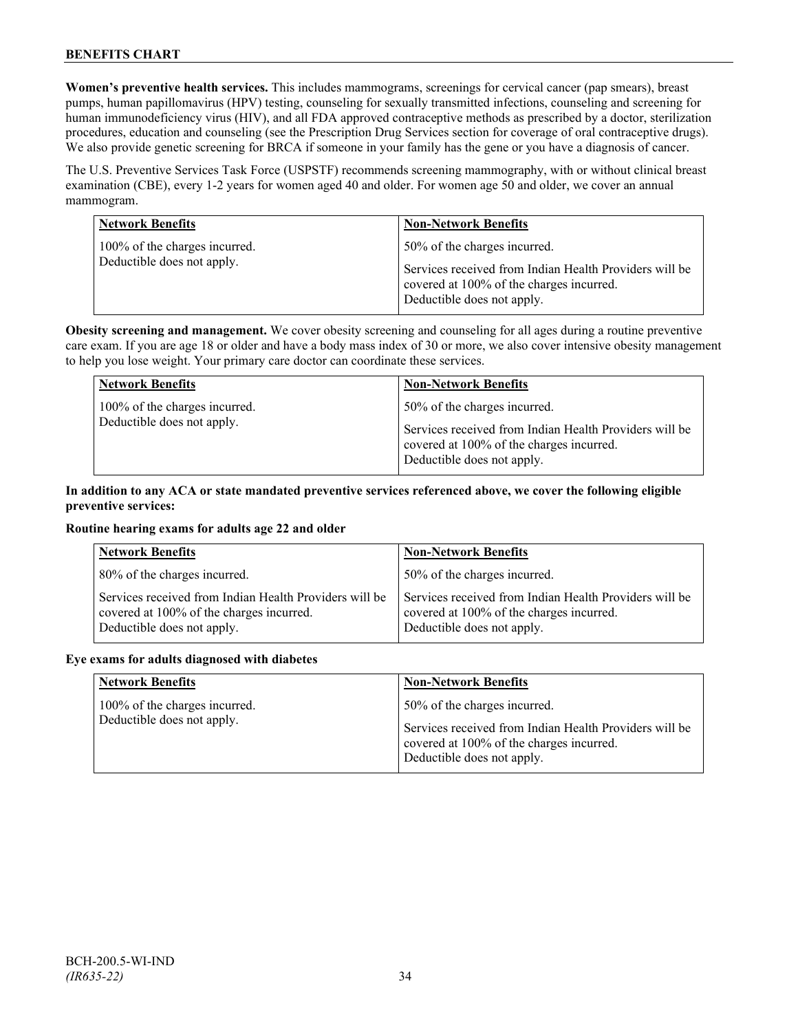**Women's preventive health services.** This includes mammograms, screenings for cervical cancer (pap smears), breast pumps, human papillomavirus (HPV) testing, counseling for sexually transmitted infections, counseling and screening for human immunodeficiency virus (HIV), and all FDA approved contraceptive methods as prescribed by a doctor, sterilization procedures, education and counseling (see the Prescription Drug Services section for coverage of oral contraceptive drugs). We also provide genetic screening for BRCA if someone in your family has the gene or you have a diagnosis of cancer.

The U.S. Preventive Services Task Force (USPSTF) recommends screening mammography, with or without clinical breast examination (CBE), every 1-2 years for women aged 40 and older. For women age 50 and older, we cover an annual mammogram.

| <b>Network Benefits</b>                                     | <b>Non-Network Benefits</b>                                                                                                                                      |
|-------------------------------------------------------------|------------------------------------------------------------------------------------------------------------------------------------------------------------------|
| 100% of the charges incurred.<br>Deductible does not apply. | 50% of the charges incurred.<br>Services received from Indian Health Providers will be<br>covered at 100% of the charges incurred.<br>Deductible does not apply. |

**Obesity screening and management.** We cover obesity screening and counseling for all ages during a routine preventive care exam. If you are age 18 or older and have a body mass index of 30 or more, we also cover intensive obesity management to help you lose weight. Your primary care doctor can coordinate these services.

| <b>Network Benefits</b>       | <b>Non-Network Benefits</b>                                                                                                      |
|-------------------------------|----------------------------------------------------------------------------------------------------------------------------------|
| 100% of the charges incurred. | 50% of the charges incurred.                                                                                                     |
| Deductible does not apply.    | Services received from Indian Health Providers will be<br>covered at 100% of the charges incurred.<br>Deductible does not apply. |

# **In addition to any ACA or state mandated preventive services referenced above, we cover the following eligible preventive services:**

## **Routine hearing exams for adults age 22 and older**

| <b>Network Benefits</b>                                                                                                          | <b>Non-Network Benefits</b>                                                                                                      |
|----------------------------------------------------------------------------------------------------------------------------------|----------------------------------------------------------------------------------------------------------------------------------|
| 80% of the charges incurred.                                                                                                     | 50% of the charges incurred.                                                                                                     |
| Services received from Indian Health Providers will be<br>covered at 100% of the charges incurred.<br>Deductible does not apply. | Services received from Indian Health Providers will be<br>covered at 100% of the charges incurred.<br>Deductible does not apply. |

#### **Eye exams for adults diagnosed with diabetes**

| <b>Network Benefits</b>                                     | <b>Non-Network Benefits</b>                                                                                                                                      |
|-------------------------------------------------------------|------------------------------------------------------------------------------------------------------------------------------------------------------------------|
| 100% of the charges incurred.<br>Deductible does not apply. | 50% of the charges incurred.<br>Services received from Indian Health Providers will be<br>covered at 100% of the charges incurred.<br>Deductible does not apply. |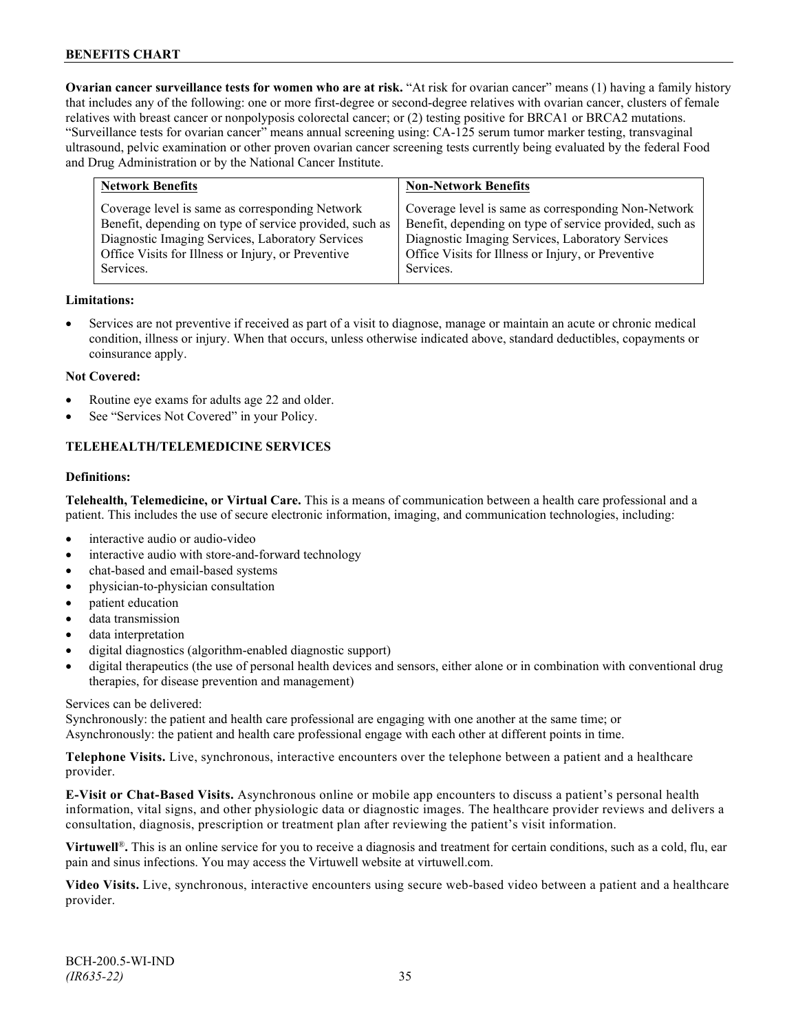**Ovarian cancer surveillance tests for women who are at risk.** "At risk for ovarian cancer" means (1) having a family history that includes any of the following: one or more first-degree or second-degree relatives with ovarian cancer, clusters of female relatives with breast cancer or nonpolyposis colorectal cancer; or (2) testing positive for BRCA1 or BRCA2 mutations. "Surveillance tests for ovarian cancer" means annual screening using: CA-125 serum tumor marker testing, transvaginal ultrasound, pelvic examination or other proven ovarian cancer screening tests currently being evaluated by the federal Food and Drug Administration or by the National Cancer Institute.

| <b>Network Benefits</b>                                                                                                                                                                                                           | <b>Non-Network Benefits</b>                                                                                                                                                                                                           |
|-----------------------------------------------------------------------------------------------------------------------------------------------------------------------------------------------------------------------------------|---------------------------------------------------------------------------------------------------------------------------------------------------------------------------------------------------------------------------------------|
| Coverage level is same as corresponding Network<br>Benefit, depending on type of service provided, such as<br>Diagnostic Imaging Services, Laboratory Services<br>Office Visits for Illness or Injury, or Preventive<br>Services. | Coverage level is same as corresponding Non-Network<br>Benefit, depending on type of service provided, such as<br>Diagnostic Imaging Services, Laboratory Services<br>Office Visits for Illness or Injury, or Preventive<br>Services. |
|                                                                                                                                                                                                                                   |                                                                                                                                                                                                                                       |

#### **Limitations:**

• Services are not preventive if received as part of a visit to diagnose, manage or maintain an acute or chronic medical condition, illness or injury. When that occurs, unless otherwise indicated above, standard deductibles, copayments or coinsurance apply.

#### **Not Covered:**

- Routine eye exams for adults age 22 and older.
- See "Services Not Covered" in your Policy.

## **TELEHEALTH/TELEMEDICINE SERVICES**

#### **Definitions:**

**Telehealth, Telemedicine, or Virtual Care.** This is a means of communication between a health care professional and a patient. This includes the use of secure electronic information, imaging, and communication technologies, including:

- interactive audio or audio-video
- interactive audio with store-and-forward technology
- chat-based and email-based systems
- physician-to-physician consultation
- patient education
- data transmission
- data interpretation
- digital diagnostics (algorithm-enabled diagnostic support)
- digital therapeutics (the use of personal health devices and sensors, either alone or in combination with conventional drug therapies, for disease prevention and management)

#### Services can be delivered:

Synchronously: the patient and health care professional are engaging with one another at the same time; or Asynchronously: the patient and health care professional engage with each other at different points in time.

**Telephone Visits.** Live, synchronous, interactive encounters over the telephone between a patient and a healthcare provider.

**E-Visit or Chat-Based Visits.** Asynchronous online or mobile app encounters to discuss a patient's personal health information, vital signs, and other physiologic data or diagnostic images. The healthcare provider reviews and delivers a consultation, diagnosis, prescription or treatment plan after reviewing the patient's visit information.

**Virtuwell<sup>®</sup>.** This is an online service for you to receive a diagnosis and treatment for certain conditions, such as a cold, flu, ear pain and sinus infections. You may access the Virtuwell website at [virtuwell.com.](https://www.virtuwell.com/)

**Video Visits.** Live, synchronous, interactive encounters using secure web-based video between a patient and a healthcare provider.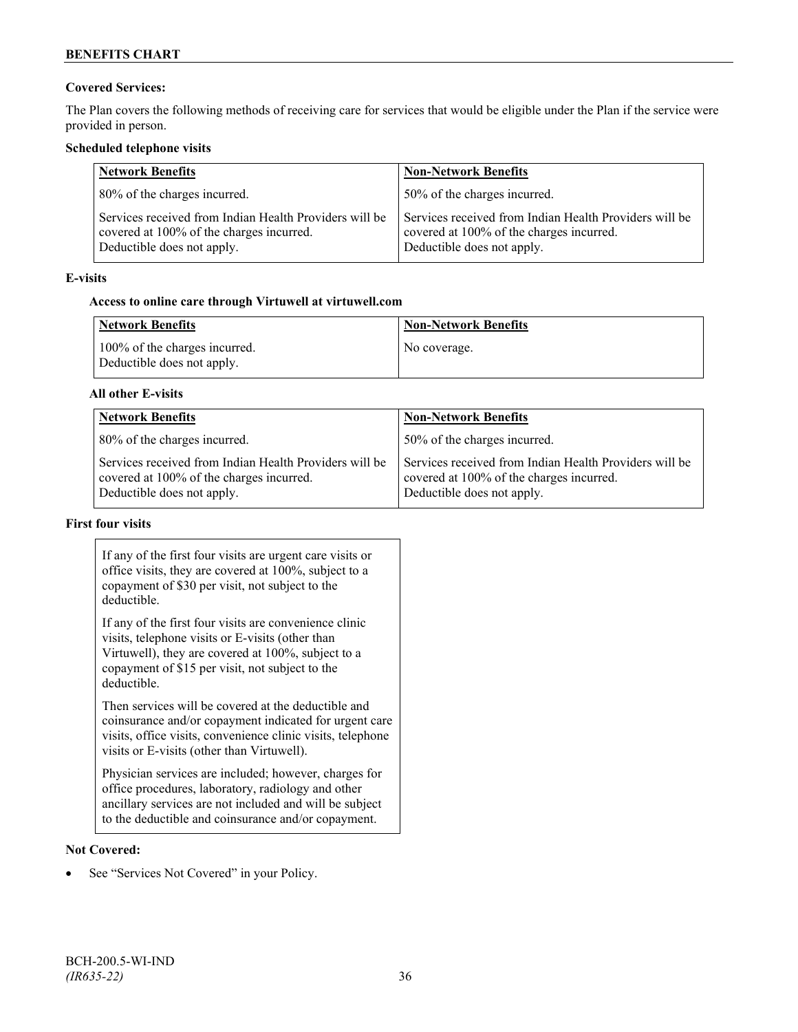# **Covered Services:**

The Plan covers the following methods of receiving care for services that would be eligible under the Plan if the service were provided in person.

## **Scheduled telephone visits**

| <b>Network Benefits</b>                                                                                                          | <b>Non-Network Benefits</b>                                                                                                      |
|----------------------------------------------------------------------------------------------------------------------------------|----------------------------------------------------------------------------------------------------------------------------------|
| 80% of the charges incurred.                                                                                                     | 50% of the charges incurred.                                                                                                     |
| Services received from Indian Health Providers will be<br>covered at 100% of the charges incurred.<br>Deductible does not apply. | Services received from Indian Health Providers will be<br>covered at 100% of the charges incurred.<br>Deductible does not apply. |

## **E-visits**

# **Access to online care through Virtuwell at [virtuwell.com](http://www.virtuwell.com/)**

| Network Benefits                                            | <b>Non-Network Benefits</b> |
|-------------------------------------------------------------|-----------------------------|
| 100% of the charges incurred.<br>Deductible does not apply. | No coverage.                |

## **All other E-visits**

| <b>Network Benefits</b>                                                                                                          | <b>Non-Network Benefits</b>                                                                                                      |
|----------------------------------------------------------------------------------------------------------------------------------|----------------------------------------------------------------------------------------------------------------------------------|
| 80% of the charges incurred.                                                                                                     | 50% of the charges incurred.                                                                                                     |
| Services received from Indian Health Providers will be<br>covered at 100% of the charges incurred.<br>Deductible does not apply. | Services received from Indian Health Providers will be<br>covered at 100% of the charges incurred.<br>Deductible does not apply. |

# **First four visits**

| If any of the first four visits are urgent care visits or<br>office visits, they are covered at 100%, subject to a<br>copayment of \$30 per visit, not subject to the<br>deductible.                                               |  |
|------------------------------------------------------------------------------------------------------------------------------------------------------------------------------------------------------------------------------------|--|
| If any of the first four visits are convenience clinic<br>visits, telephone visits or E-visits (other than<br>Virtuwell), they are covered at 100%, subject to a<br>copayment of \$15 per visit, not subject to the<br>deductible. |  |
| Then services will be covered at the deductible and<br>coinsurance and/or copayment indicated for urgent care<br>visits, office visits, convenience clinic visits, telephone<br>visits or E-visits (other than Virtuwell).         |  |
| Physician services are included; however, charges for<br>office procedures, laboratory, radiology and other<br>ancillary services are not included and will be subject<br>to the deductible and coinsurance and/or copayment.      |  |

## **Not Covered:**

• See "Services Not Covered" in your Policy.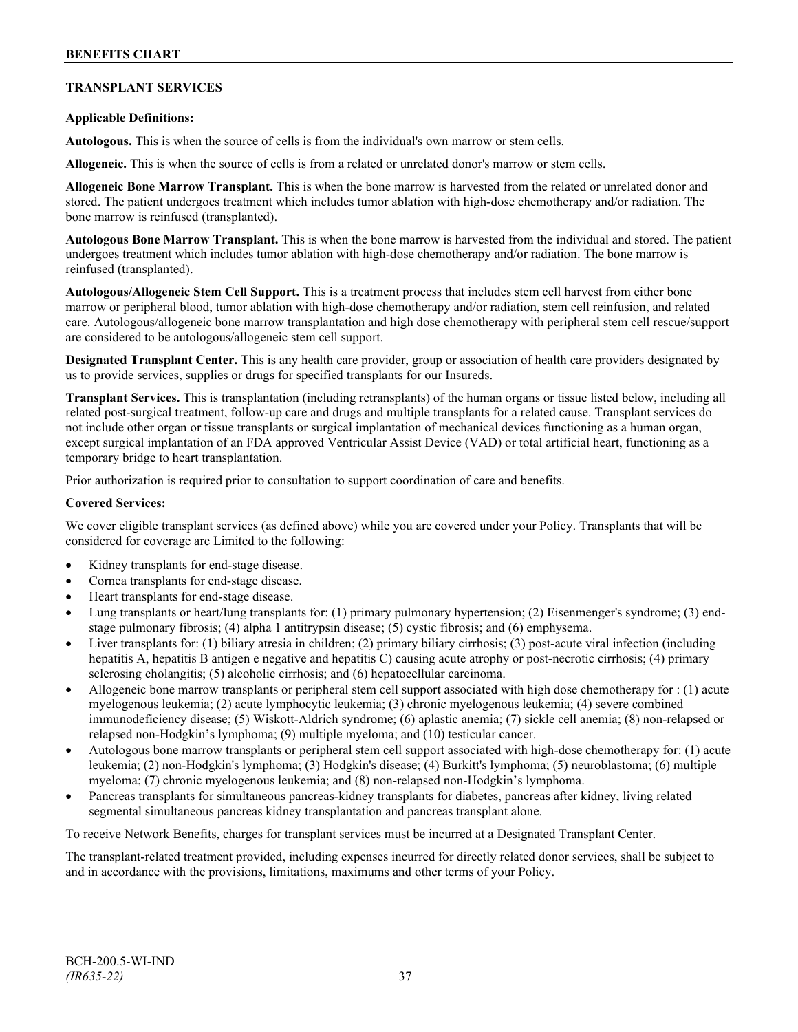# **TRANSPLANT SERVICES**

## **Applicable Definitions:**

**Autologous.** This is when the source of cells is from the individual's own marrow or stem cells.

**Allogeneic.** This is when the source of cells is from a related or unrelated donor's marrow or stem cells.

**Allogeneic Bone Marrow Transplant.** This is when the bone marrow is harvested from the related or unrelated donor and stored. The patient undergoes treatment which includes tumor ablation with high-dose chemotherapy and/or radiation. The bone marrow is reinfused (transplanted).

**Autologous Bone Marrow Transplant.** This is when the bone marrow is harvested from the individual and stored. The patient undergoes treatment which includes tumor ablation with high-dose chemotherapy and/or radiation. The bone marrow is reinfused (transplanted).

**Autologous/Allogeneic Stem Cell Support.** This is a treatment process that includes stem cell harvest from either bone marrow or peripheral blood, tumor ablation with high-dose chemotherapy and/or radiation, stem cell reinfusion, and related care. Autologous/allogeneic bone marrow transplantation and high dose chemotherapy with peripheral stem cell rescue/support are considered to be autologous/allogeneic stem cell support.

**Designated Transplant Center.** This is any health care provider, group or association of health care providers designated by us to provide services, supplies or drugs for specified transplants for our Insureds.

**Transplant Services.** This is transplantation (including retransplants) of the human organs or tissue listed below, including all related post-surgical treatment, follow-up care and drugs and multiple transplants for a related cause. Transplant services do not include other organ or tissue transplants or surgical implantation of mechanical devices functioning as a human organ, except surgical implantation of an FDA approved Ventricular Assist Device (VAD) or total artificial heart, functioning as a temporary bridge to heart transplantation.

Prior authorization is required prior to consultation to support coordination of care and benefits.

#### **Covered Services:**

We cover eligible transplant services (as defined above) while you are covered under your Policy. Transplants that will be considered for coverage are Limited to the following:

- Kidney transplants for end-stage disease.
- Cornea transplants for end-stage disease.
- Heart transplants for end-stage disease.
- Lung transplants or heart/lung transplants for: (1) primary pulmonary hypertension; (2) Eisenmenger's syndrome; (3) endstage pulmonary fibrosis; (4) alpha 1 antitrypsin disease; (5) cystic fibrosis; and (6) emphysema.
- Liver transplants for: (1) biliary atresia in children; (2) primary biliary cirrhosis; (3) post-acute viral infection (including hepatitis A, hepatitis B antigen e negative and hepatitis C) causing acute atrophy or post-necrotic cirrhosis; (4) primary sclerosing cholangitis; (5) alcoholic cirrhosis; and (6) hepatocellular carcinoma.
- Allogeneic bone marrow transplants or peripheral stem cell support associated with high dose chemotherapy for : (1) acute myelogenous leukemia; (2) acute lymphocytic leukemia; (3) chronic myelogenous leukemia; (4) severe combined immunodeficiency disease; (5) Wiskott-Aldrich syndrome; (6) aplastic anemia; (7) sickle cell anemia; (8) non-relapsed or relapsed non-Hodgkin's lymphoma; (9) multiple myeloma; and (10) testicular cancer.
- Autologous bone marrow transplants or peripheral stem cell support associated with high-dose chemotherapy for: (1) acute leukemia; (2) non-Hodgkin's lymphoma; (3) Hodgkin's disease; (4) Burkitt's lymphoma; (5) neuroblastoma; (6) multiple myeloma; (7) chronic myelogenous leukemia; and (8) non-relapsed non-Hodgkin's lymphoma.
- Pancreas transplants for simultaneous pancreas-kidney transplants for diabetes, pancreas after kidney, living related segmental simultaneous pancreas kidney transplantation and pancreas transplant alone.

To receive Network Benefits, charges for transplant services must be incurred at a Designated Transplant Center.

The transplant-related treatment provided, including expenses incurred for directly related donor services, shall be subject to and in accordance with the provisions, limitations, maximums and other terms of your Policy.